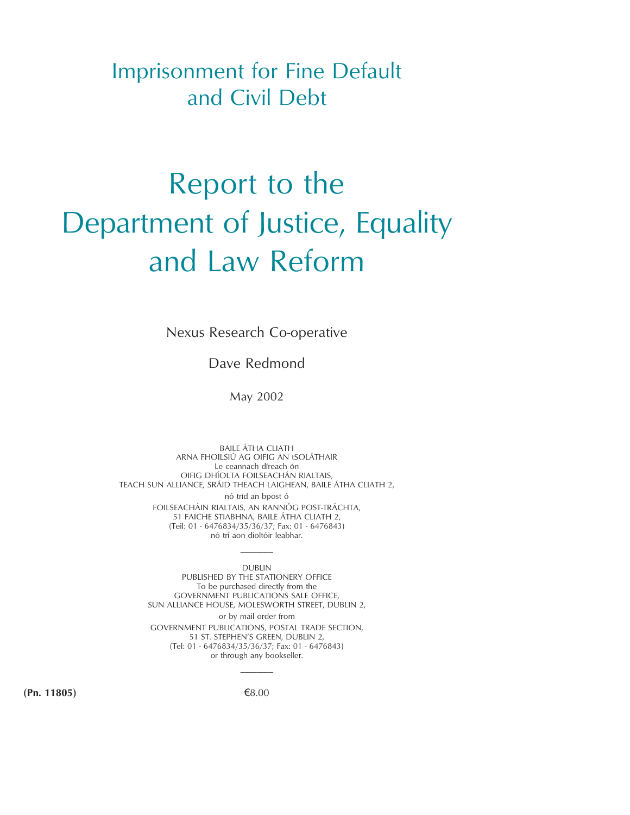Imprisonment for Fine Default and Civil Debt

# Report to the Department of Justice, Equality and Law Reform

Nexus Research Co-operative

Dave Redmond

May 2002

BAILE ÁTHA CLIATH ARNA FHOILSIÚ AG OIFIG AN tSOLÁTHAIR Le ceannach díreach ón OIFIG DHÍOLTA FOILSEACHÁN RIALTAIS, TEACH SUN ALLIANCE, SRÁID THEACH LAIGHEAN, BAILE ÁTHA CLIATH 2, nó tríd an bpost ó FOILSEACHÁIN RIALTAIS, AN RANNÓG POST-TRÁCHTA, 51 FAICHE STIABHNA, BAILE ÁTHA CLIATH 2, (Teil: 01 - 6476834/35/36/37; Fax: 01 - 6476843) nó trí aon díoltóir leabhar.

> DUBLIN PUBLISHED BY THE STATIONERY OFFICE To be purchased directly from the GOVERNMENT PUBLICATIONS SALE OFFICE, SUN ALLIANCE HOUSE, MOLESWORTH STREET, DUBLIN 2, or by mail order from GOVERNMENT PUBLICATIONS, POSTAL TRADE SECTION, 51 ST. STEPHEN'S GREEN, DUBLIN 2, (Tel: 01 - 6476834/35/36/37; Fax: 01 - 6476843) or through any bookseller.

——————

 $(8.00)$   $(8.00)$ 

——————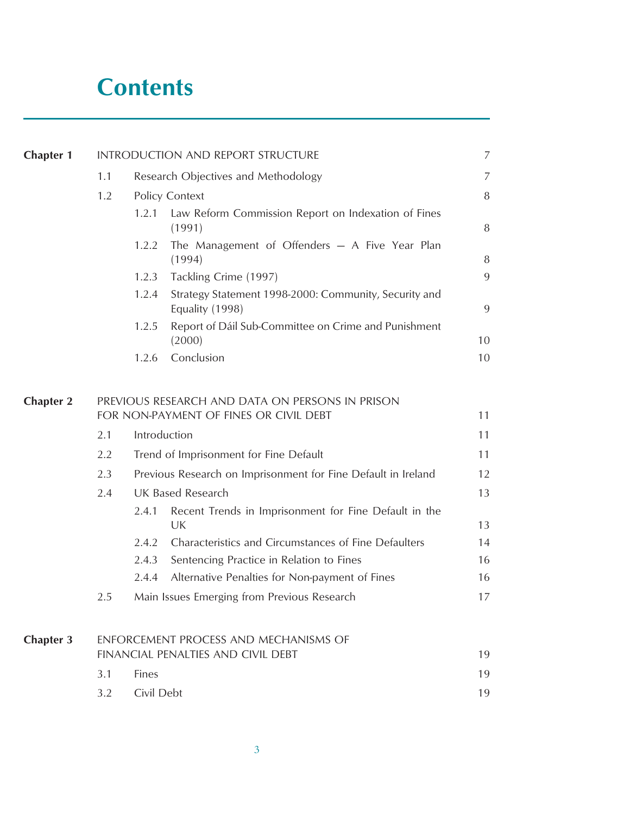## **Contents**

| <b>Chapter 1</b> | INTRODUCTION AND REPORT STRUCTURE     |                                        |                                                                                           |          |  |  |
|------------------|---------------------------------------|----------------------------------------|-------------------------------------------------------------------------------------------|----------|--|--|
|                  | 1.1                                   |                                        | Research Objectives and Methodology                                                       | 7        |  |  |
|                  | 1.2                                   |                                        | Policy Context                                                                            | 8        |  |  |
|                  |                                       | 1.2.1                                  | Law Reform Commission Report on Indexation of Fines<br>(1991)                             | 8        |  |  |
|                  |                                       | 1.2.2                                  | The Management of Offenders - A Five Year Plan<br>(1994)                                  | 8        |  |  |
|                  |                                       | 1.2.3                                  | Tackling Crime (1997)                                                                     | 9        |  |  |
|                  |                                       | 1.2.4                                  | Strategy Statement 1998-2000: Community, Security and<br>Equality (1998)                  | 9        |  |  |
|                  |                                       | 1.2.5                                  | Report of Dáil Sub-Committee on Crime and Punishment<br>(2000)                            | 10       |  |  |
|                  |                                       | 1.2.6                                  | Conclusion                                                                                | 10       |  |  |
| <b>Chapter 2</b> |                                       |                                        | PREVIOUS RESEARCH AND DATA ON PERSONS IN PRISON<br>FOR NON-PAYMENT OF FINES OR CIVIL DEBT | 11<br>11 |  |  |
|                  | 2.1                                   | Introduction                           |                                                                                           |          |  |  |
|                  | 2.2                                   | Trend of Imprisonment for Fine Default |                                                                                           |          |  |  |
|                  | 2.3                                   |                                        | Previous Research on Imprisonment for Fine Default in Ireland                             |          |  |  |
|                  | 2.4                                   |                                        | <b>UK Based Research</b>                                                                  |          |  |  |
|                  |                                       | 2.4.1                                  | Recent Trends in Imprisonment for Fine Default in the<br>UK                               | 13       |  |  |
|                  |                                       | 2.4.2                                  | Characteristics and Circumstances of Fine Defaulters                                      | 14       |  |  |
|                  |                                       | 2.4.3                                  | Sentencing Practice in Relation to Fines                                                  | 16       |  |  |
|                  |                                       | 2.4.4                                  | Alternative Penalties for Non-payment of Fines                                            | 16       |  |  |
|                  | 2.5                                   |                                        | Main Issues Emerging from Previous Research                                               | 17       |  |  |
| <b>Chapter 3</b> | ENFORCEMENT PROCESS AND MECHANISMS OF |                                        |                                                                                           |          |  |  |
|                  |                                       |                                        | FINANCIAL PENALTIES AND CIVIL DEBT                                                        | 19       |  |  |
|                  | 3.1                                   | Fines                                  |                                                                                           | 19<br>19 |  |  |
|                  | 3.2                                   | Civil Debt                             |                                                                                           |          |  |  |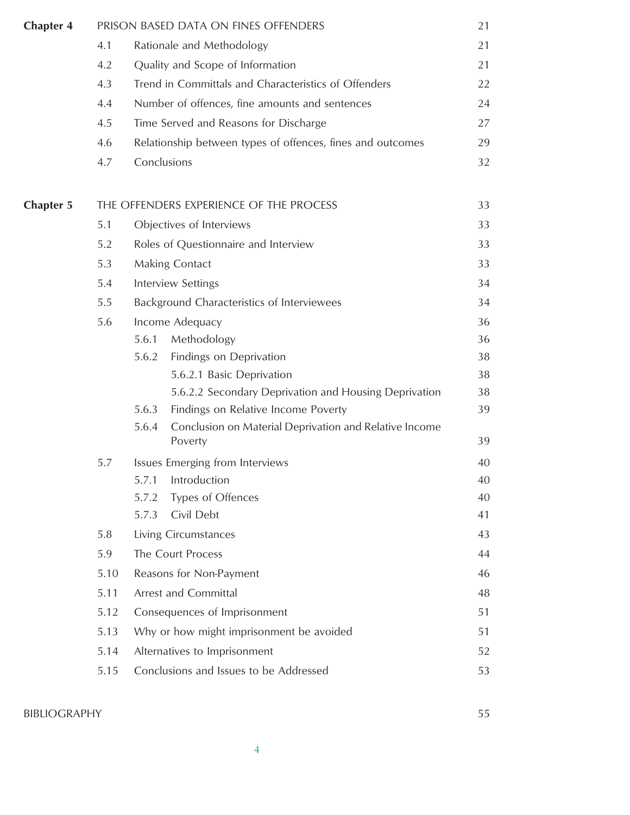| <b>Chapter 4</b> |      |                                            | PRISON BASED DATA ON FINES OFFENDERS                              | 21 |  |
|------------------|------|--------------------------------------------|-------------------------------------------------------------------|----|--|
|                  | 4.1  |                                            | Rationale and Methodology                                         | 21 |  |
|                  | 4.2  |                                            | Quality and Scope of Information                                  | 21 |  |
|                  | 4.3  |                                            | Trend in Committals and Characteristics of Offenders              | 22 |  |
|                  | 4.4  |                                            | Number of offences, fine amounts and sentences                    | 24 |  |
|                  | 4.5  |                                            | Time Served and Reasons for Discharge                             | 27 |  |
|                  | 4.6  |                                            | Relationship between types of offences, fines and outcomes        | 29 |  |
|                  | 4.7  | Conclusions                                |                                                                   | 32 |  |
| <b>Chapter 5</b> |      |                                            | THE OFFENDERS EXPERIENCE OF THE PROCESS                           | 33 |  |
|                  | 5.1  |                                            | Objectives of Interviews                                          | 33 |  |
|                  | 5.2  |                                            | Roles of Questionnaire and Interview                              | 33 |  |
|                  | 5.3  |                                            | Making Contact                                                    | 33 |  |
|                  | 5.4  | <b>Interview Settings</b>                  |                                                                   |    |  |
|                  | 5.5  | Background Characteristics of Interviewees |                                                                   |    |  |
|                  | 5.6  |                                            | Income Adequacy                                                   | 36 |  |
|                  |      | 5.6.1                                      | Methodology                                                       | 36 |  |
|                  |      | 5.6.2                                      | Findings on Deprivation                                           | 38 |  |
|                  |      |                                            | 5.6.2.1 Basic Deprivation                                         | 38 |  |
|                  |      |                                            | 5.6.2.2 Secondary Deprivation and Housing Deprivation             | 38 |  |
|                  |      | 5.6.3                                      | Findings on Relative Income Poverty                               | 39 |  |
|                  |      | 5.6.4                                      | Conclusion on Material Deprivation and Relative Income<br>Poverty | 39 |  |
|                  | 5.7  |                                            | Issues Emerging from Interviews                                   | 40 |  |
|                  |      |                                            | 5.7.1 Introduction                                                | 40 |  |
|                  |      | 5.7.2                                      | Types of Offences                                                 | 40 |  |
|                  |      | 5.7.3                                      | Civil Debt                                                        | 41 |  |
|                  | 5.8  |                                            | Living Circumstances                                              | 43 |  |
|                  | 5.9  |                                            | The Court Process                                                 | 44 |  |
|                  | 5.10 |                                            | Reasons for Non-Payment                                           | 46 |  |
|                  | 5.11 |                                            | Arrest and Committal                                              | 48 |  |
|                  | 5.12 |                                            | Consequences of Imprisonment                                      | 51 |  |
|                  | 5.13 |                                            | Why or how might imprisonment be avoided                          | 51 |  |
|                  | 5.14 |                                            | Alternatives to Imprisonment                                      | 52 |  |
|                  | 5.15 |                                            | Conclusions and Issues to be Addressed                            | 53 |  |
|                  |      |                                            |                                                                   |    |  |

### BIBLIOGRAPHY 55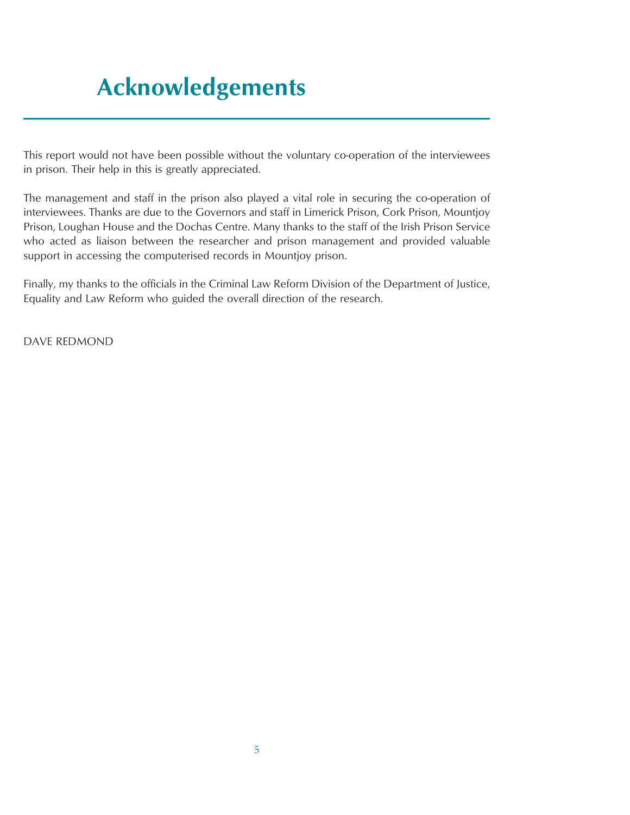# **Acknowledgements**

This report would not have been possible without the voluntary co-operation of the interviewees in prison. Their help in this is greatly appreciated.

The management and staff in the prison also played a vital role in securing the co-operation of interviewees. Thanks are due to the Governors and staff in Limerick Prison, Cork Prison, Mountjoy Prison, Loughan House and the Dochas Centre. Many thanks to the staff of the Irish Prison Service who acted as liaison between the researcher and prison management and provided valuable support in accessing the computerised records in Mountjoy prison.

Finally, my thanks to the officials in the Criminal Law Reform Division of the Department of Justice, Equality and Law Reform who guided the overall direction of the research.

DAVE REDMOND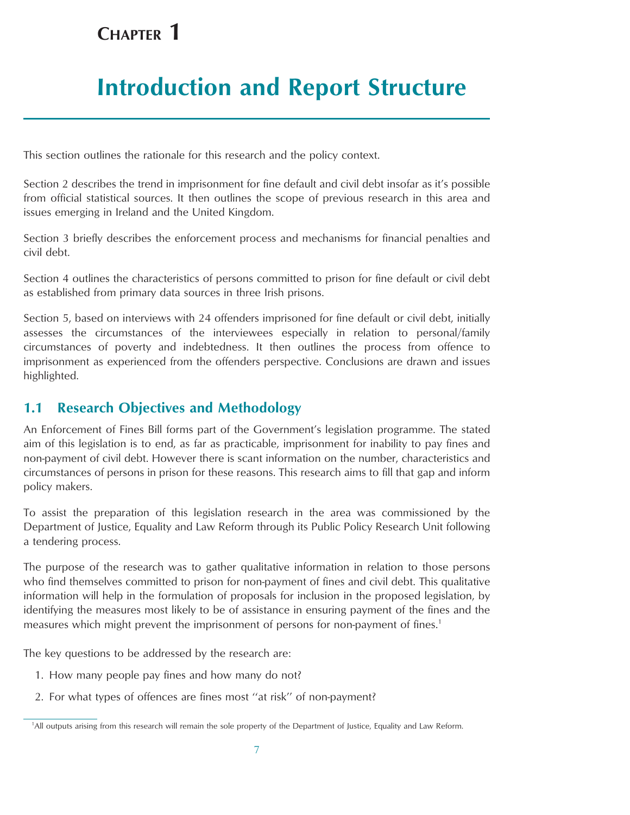## <span id="page-6-0"></span>**CHAPTER 1**

## **Introduction and Report Structure**

This section outlines the rationale for this research and the policy context.

Section 2 describes the trend in imprisonment for fine default and civil debt insofar as it's possible from official statistical sources. It then outlines the scope of previous research in this area and issues emerging in Ireland and the United Kingdom.

Section 3 briefly describes the enforcement process and mechanisms for financial penalties and civil debt.

Section 4 outlines the characteristics of persons committed to prison for fine default or civil debt as established from primary data sources in three Irish prisons.

Section 5, based on interviews with 24 offenders imprisoned for fine default or civil debt, initially assesses the circumstances of the interviewees especially in relation to personal/family circumstances of poverty and indebtedness. It then outlines the process from offence to imprisonment as experienced from the offenders perspective. Conclusions are drawn and issues highlighted.

## **1.1 Research Objectives and Methodology**

An Enforcement of Fines Bill forms part of the Government's legislation programme. The stated aim of this legislation is to end, as far as practicable, imprisonment for inability to pay fines and non-payment of civil debt. However there is scant information on the number, characteristics and circumstances of persons in prison for these reasons. This research aims to fill that gap and inform policy makers.

To assist the preparation of this legislation research in the area was commissioned by the Department of Justice, Equality and Law Reform through its Public Policy Research Unit following a tendering process.

The purpose of the research was to gather qualitative information in relation to those persons who find themselves committed to prison for non-payment of fines and civil debt. This qualitative information will help in the formulation of proposals for inclusion in the proposed legislation, by identifying the measures most likely to be of assistance in ensuring payment of the fines and the measures which might prevent the imprisonment of persons for non-payment of fines.<sup>1</sup>

The key questions to be addressed by the research are:

- 1. How many people pay fines and how many do not?
- 2. For what types of offences are fines most ''at risk'' of non-payment?

<sup>&</sup>lt;sup>1</sup>All outputs arising from this research will remain the sole property of the Department of Justice, Equality and Law Reform.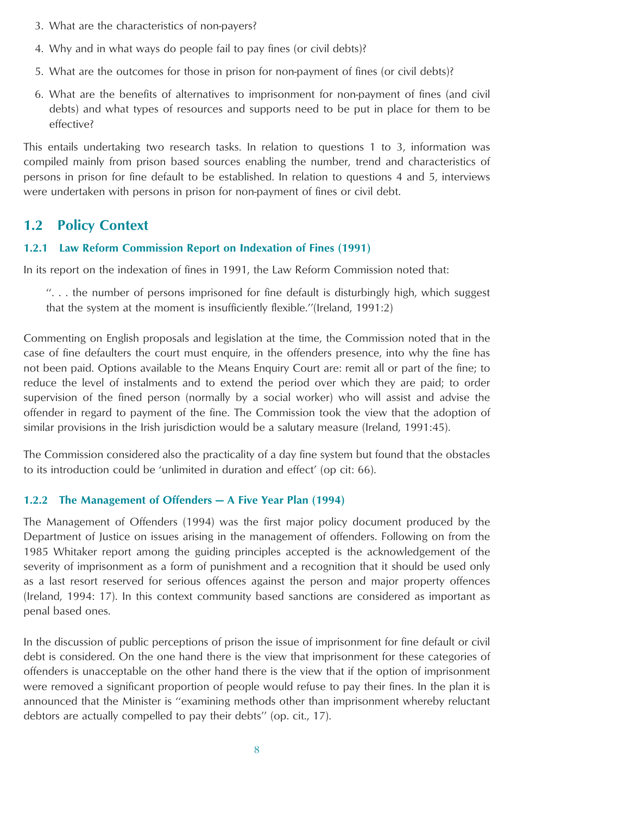- <span id="page-7-0"></span>3. What are the characteristics of non-payers?
- 4. Why and in what ways do people fail to pay fines (or civil debts)?
- 5. What are the outcomes for those in prison for non-payment of fines (or civil debts)?
- 6. What are the benefits of alternatives to imprisonment for non-payment of fines (and civil debts) and what types of resources and supports need to be put in place for them to be effective?

This entails undertaking two research tasks. In relation to questions 1 to 3, information was compiled mainly from prison based sources enabling the number, trend and characteristics of persons in prison for fine default to be established. In relation to questions 4 and 5, interviews were undertaken with persons in prison for non-payment of fines or civil debt.

### **1.2 Policy Context**

#### **1.2.1 Law Reform Commission Report on Indexation of Fines (1991)**

In its report on the indexation of fines in 1991, the Law Reform Commission noted that:

 $\ldots$  the number of persons imprisoned for fine default is disturbingly high, which suggest that the system at the moment is insufficiently flexible.''(Ireland, 1991:2)

Commenting on English proposals and legislation at the time, the Commission noted that in the case of fine defaulters the court must enquire, in the offenders presence, into why the fine has not been paid. Options available to the Means Enquiry Court are: remit all or part of the fine; to reduce the level of instalments and to extend the period over which they are paid; to order supervision of the fined person (normally by a social worker) who will assist and advise the offender in regard to payment of the fine. The Commission took the view that the adoption of similar provisions in the Irish jurisdiction would be a salutary measure (Ireland, 1991:45).

The Commission considered also the practicality of a day fine system but found that the obstacles to its introduction could be 'unlimited in duration and effect' (op cit: 66).

#### **1.2.2 The Management of Offenders — A Five Year Plan (1994)**

The Management of Offenders (1994) was the first major policy document produced by the Department of Justice on issues arising in the management of offenders. Following on from the 1985 Whitaker report among the guiding principles accepted is the acknowledgement of the severity of imprisonment as a form of punishment and a recognition that it should be used only as a last resort reserved for serious offences against the person and major property offences (Ireland, 1994: 17). In this context community based sanctions are considered as important as penal based ones.

In the discussion of public perceptions of prison the issue of imprisonment for fine default or civil debt is considered. On the one hand there is the view that imprisonment for these categories of offenders is unacceptable on the other hand there is the view that if the option of imprisonment were removed a significant proportion of people would refuse to pay their fines. In the plan it is announced that the Minister is ''examining methods other than imprisonment whereby reluctant debtors are actually compelled to pay their debts'' (op. cit., 17).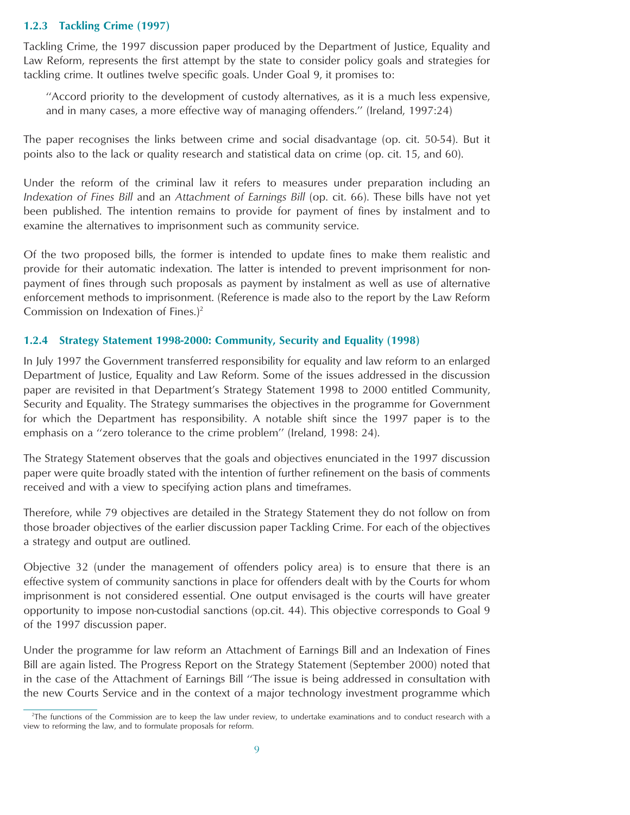#### **1.2.3 Tackling Crime (1997)**

Tackling Crime, the 1997 discussion paper produced by the Department of Justice, Equality and Law Reform, represents the first attempt by the state to consider policy goals and strategies for tackling crime. It outlines twelve specific goals. Under Goal 9, it promises to:

''Accord priority to the development of custody alternatives, as it is a much less expensive, and in many cases, a more effective way of managing offenders.'' (Ireland, 1997:24)

The paper recognises the links between crime and social disadvantage (op. cit. 50-54). But it points also to the lack or quality research and statistical data on crime (op. cit. 15, and 60).

Under the reform of the criminal law it refers to measures under preparation including an *Indexation of Fines Bill* and an *Attachment of Earnings Bill* (op. cit. 66). These bills have not yet been published. The intention remains to provide for payment of fines by instalment and to examine the alternatives to imprisonment such as community service.

Of the two proposed bills, the former is intended to update fines to make them realistic and provide for their automatic indexation. The latter is intended to prevent imprisonment for nonpayment of fines through such proposals as payment by instalment as well as use of alternative enforcement methods to imprisonment. (Reference is made also to the report by the Law Reform Commission on Indexation of Fines.)<sup>2</sup>

#### **1.2.4 Strategy Statement 1998-2000: Community, Security and Equality (1998)**

In July 1997 the Government transferred responsibility for equality and law reform to an enlarged Department of Justice, Equality and Law Reform. Some of the issues addressed in the discussion paper are revisited in that Department's Strategy Statement 1998 to 2000 entitled Community, Security and Equality. The Strategy summarises the objectives in the programme for Government for which the Department has responsibility. A notable shift since the 1997 paper is to the emphasis on a ''zero tolerance to the crime problem'' (Ireland, 1998: 24).

The Strategy Statement observes that the goals and objectives enunciated in the 1997 discussion paper were quite broadly stated with the intention of further refinement on the basis of comments received and with a view to specifying action plans and timeframes.

Therefore, while 79 objectives are detailed in the Strategy Statement they do not follow on from those broader objectives of the earlier discussion paper Tackling Crime. For each of the objectives a strategy and output are outlined.

Objective 32 (under the management of offenders policy area) is to ensure that there is an effective system of community sanctions in place for offenders dealt with by the Courts for whom imprisonment is not considered essential. One output envisaged is the courts will have greater opportunity to impose non-custodial sanctions (op.cit. 44). This objective corresponds to Goal 9 of the 1997 discussion paper.

Under the programme for law reform an Attachment of Earnings Bill and an Indexation of Fines Bill are again listed. The Progress Report on the Strategy Statement (September 2000) noted that in the case of the Attachment of Earnings Bill ''The issue is being addressed in consultation with the new Courts Service and in the context of a major technology investment programme which

<sup>2</sup> The functions of the Commission are to keep the law under review, to undertake examinations and to conduct research with a view to reforming the law, and to formulate proposals for reform.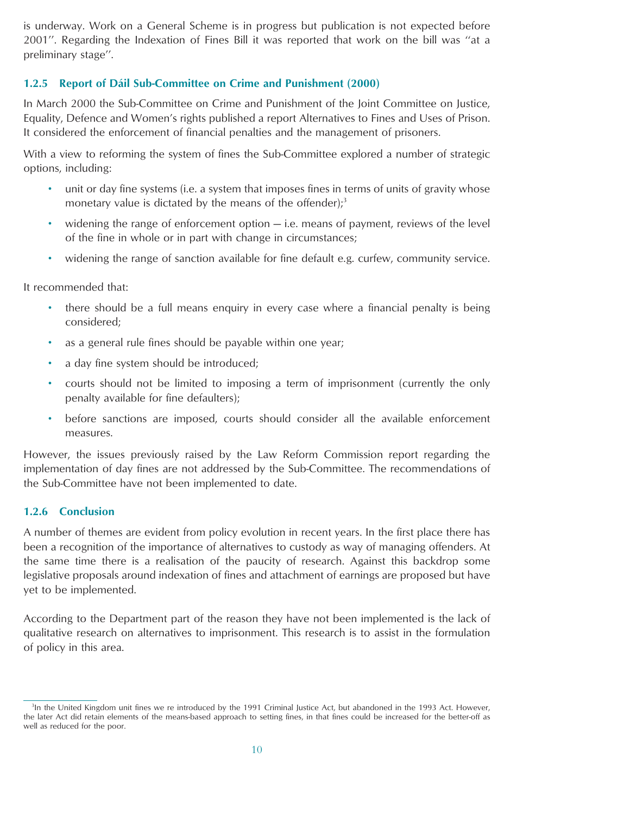is underway. Work on a General Scheme is in progress but publication is not expected before 2001''. Regarding the Indexation of Fines Bill it was reported that work on the bill was ''at a preliminary stage''.

#### **1.2.5 Report of Da´il Sub-Committee on Crime and Punishment (2000)**

In March 2000 the Sub-Committee on Crime and Punishment of the Joint Committee on Justice, Equality, Defence and Women's rights published a report Alternatives to Fines and Uses of Prison. It considered the enforcement of financial penalties and the management of prisoners.

With a view to reforming the system of fines the Sub-Committee explored a number of strategic options, including:

- unit or day fine systems (i.e. a system that imposes fines in terms of units of gravity whose monetary value is dictated by the means of the offender); $3$
- widening the range of enforcement option i.e. means of payment, reviews of the level of the fine in whole or in part with change in circumstances;
- widening the range of sanction available for fine default e.g. curfew, community service.

It recommended that:

- there should be a full means enquiry in every case where a financial penalty is being considered;
- as a general rule fines should be payable within one year;
- a day fine system should be introduced;
- courts should not be limited to imposing a term of imprisonment (currently the only penalty available for fine defaulters);
- before sanctions are imposed, courts should consider all the available enforcement measures.

However, the issues previously raised by the Law Reform Commission report regarding the implementation of day fines are not addressed by the Sub-Committee. The recommendations of the Sub-Committee have not been implemented to date.

#### **1.2.6 Conclusion**

A number of themes are evident from policy evolution in recent years. In the first place there has been a recognition of the importance of alternatives to custody as way of managing offenders. At the same time there is a realisation of the paucity of research. Against this backdrop some legislative proposals around indexation of fines and attachment of earnings are proposed but have yet to be implemented.

According to the Department part of the reason they have not been implemented is the lack of qualitative research on alternatives to imprisonment. This research is to assist in the formulation of policy in this area.

<sup>&</sup>lt;sup>3</sup>In the United Kingdom unit fines we re introduced by the 1991 Criminal Justice Act, but abandoned in the 1993 Act. However, the later Act did retain elements of the means-based approach to setting fines, in that fines could be increased for the better-off as well as reduced for the poor.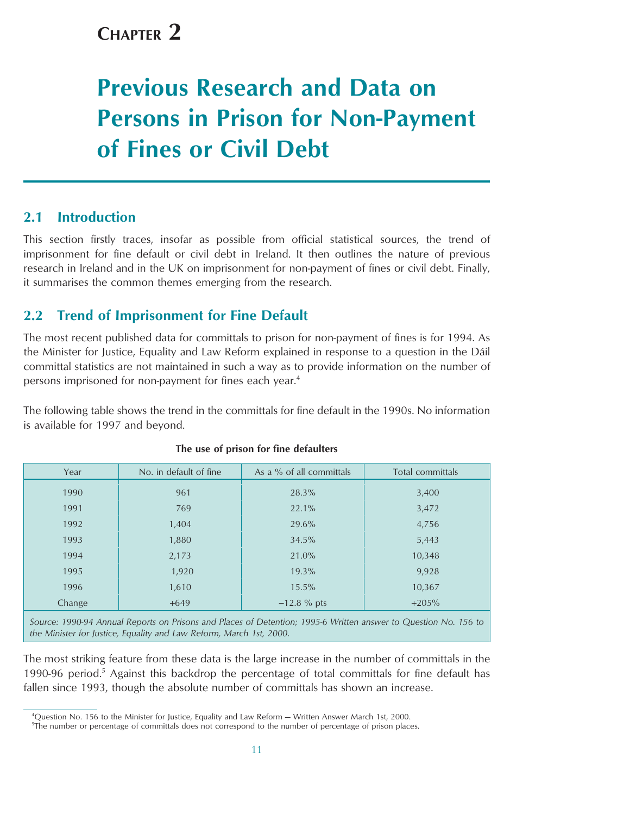## <span id="page-10-0"></span>**CHAPTER 2**

# **Previous Research and Data on Persons in Prison for Non-Payment of Fines or Civil Debt**

## **2.1 Introduction**

This section firstly traces, insofar as possible from official statistical sources, the trend of imprisonment for fine default or civil debt in Ireland. It then outlines the nature of previous research in Ireland and in the UK on imprisonment for non-payment of fines or civil debt. Finally, it summarises the common themes emerging from the research.

## **2.2 Trend of Imprisonment for Fine Default**

The most recent published data for committals to prison for non-payment of fines is for 1994. As the Minister for Justice, Equality and Law Reform explained in response to a question in the Da´il committal statistics are not maintained in such a way as to provide information on the number of persons imprisoned for non-payment for fines each year.<sup>4</sup>

The following table shows the trend in the committals for fine default in the 1990s. No information is available for 1997 and beyond.

| Year   | No. in default of fine | As a % of all committals | Total committals |
|--------|------------------------|--------------------------|------------------|
| 1990   | 961                    | 28.3%                    | 3,400            |
| 1991   | 769                    | 22.1%                    | 3,472            |
| 1992   | 1,404                  | 29.6%                    | 4,756            |
| 1993   | 1,880                  | 34.5%                    | 5,443            |
| 1994   | 2,173                  | 21.0%                    | 10,348           |
| 1995   | 1,920                  | 19.3%                    | 9,928            |
| 1996   | 1,610                  | 15.5%                    | 10,367           |
| Change | $+649$                 | $-12.8 \%$ pts           | $+205%$          |
|        |                        |                          |                  |

#### **The use of prison for fine defaulters**

*Source: 1990-94 Annual Reports on Prisons and Places of Detention; 1995-6 Written answer to Question No. 156 to the Minister for Justice, Equality and Law Reform, March 1st, 2000*.

The most striking feature from these data is the large increase in the number of committals in the 1990-96 period.<sup>5</sup> Against this backdrop the percentage of total committals for fine default has fallen since 1993, though the absolute number of committals has shown an increase.

<sup>4</sup> Question No. 156 to the Minister for Justice, Equality and Law Reform — Written Answer March 1st, 2000.

<sup>5</sup> The number or percentage of committals does not correspond to the number of percentage of prison places.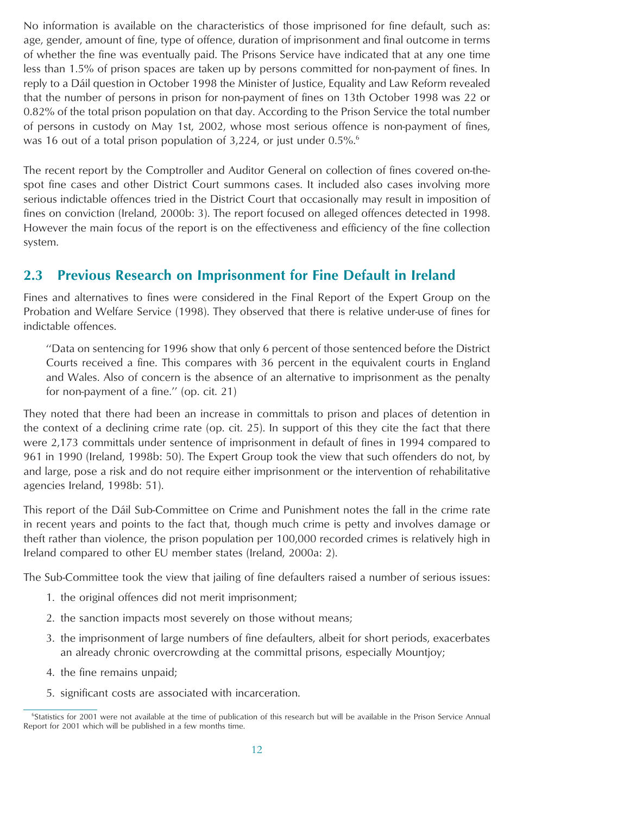<span id="page-11-0"></span>No information is available on the characteristics of those imprisoned for fine default, such as: age, gender, amount of fine, type of offence, duration of imprisonment and final outcome in terms of whether the fine was eventually paid. The Prisons Service have indicated that at any one time less than 1.5% of prison spaces are taken up by persons committed for non-payment of fines. In reply to a Dáil question in October 1998 the Minister of Justice, Equality and Law Reform revealed that the number of persons in prison for non-payment of fines on 13th October 1998 was 22 or 0.82% of the total prison population on that day. According to the Prison Service the total number of persons in custody on May 1st, 2002, whose most serious offence is non-payment of fines, was 16 out of a total prison population of 3,224, or just under  $0.5\%$ <sup>6</sup>

The recent report by the Comptroller and Auditor General on collection of fines covered on-thespot fine cases and other District Court summons cases. It included also cases involving more serious indictable offences tried in the District Court that occasionally may result in imposition of fines on conviction (Ireland, 2000b: 3). The report focused on alleged offences detected in 1998. However the main focus of the report is on the effectiveness and efficiency of the fine collection system.

## **2.3 Previous Research on Imprisonment for Fine Default in Ireland**

Fines and alternatives to fines were considered in the Final Report of the Expert Group on the Probation and Welfare Service (1998). They observed that there is relative under-use of fines for indictable offences.

''Data on sentencing for 1996 show that only 6 percent of those sentenced before the District Courts received a fine. This compares with 36 percent in the equivalent courts in England and Wales. Also of concern is the absence of an alternative to imprisonment as the penalty for non-payment of a fine.'' (op. cit. 21)

They noted that there had been an increase in committals to prison and places of detention in the context of a declining crime rate (op. cit. 25). In support of this they cite the fact that there were 2,173 committals under sentence of imprisonment in default of fines in 1994 compared to 961 in 1990 (Ireland, 1998b: 50). The Expert Group took the view that such offenders do not, by and large, pose a risk and do not require either imprisonment or the intervention of rehabilitative agencies Ireland, 1998b: 51).

This report of the Dáil Sub-Committee on Crime and Punishment notes the fall in the crime rate in recent years and points to the fact that, though much crime is petty and involves damage or theft rather than violence, the prison population per 100,000 recorded crimes is relatively high in Ireland compared to other EU member states (Ireland, 2000a: 2).

The Sub-Committee took the view that jailing of fine defaulters raised a number of serious issues:

- 1. the original offences did not merit imprisonment;
- 2. the sanction impacts most severely on those without means;
- 3. the imprisonment of large numbers of fine defaulters, albeit for short periods, exacerbates an already chronic overcrowding at the committal prisons, especially Mountjoy;
- 4. the fine remains unpaid;
- 5. significant costs are associated with incarceration.

<sup>6</sup> Statistics for 2001 were not available at the time of publication of this research but will be available in the Prison Service Annual Report for 2001 which will be published in a few months time.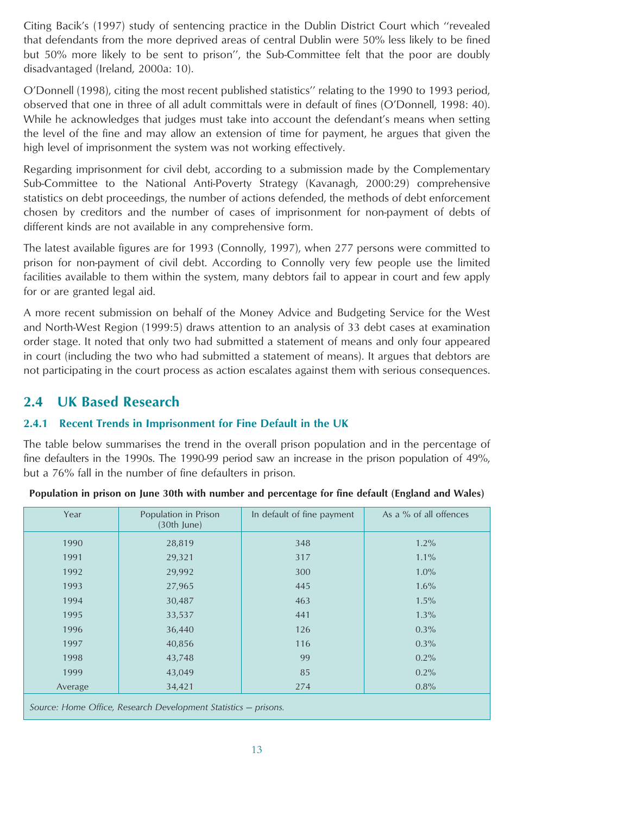<span id="page-12-0"></span>Citing Bacik's (1997) study of sentencing practice in the Dublin District Court which ''revealed that defendants from the more deprived areas of central Dublin were 50% less likely to be fined but 50% more likely to be sent to prison'', the Sub-Committee felt that the poor are doubly disadvantaged (Ireland, 2000a: 10).

O'Donnell (1998), citing the most recent published statistics'' relating to the 1990 to 1993 period, observed that one in three of all adult committals were in default of fines (O'Donnell, 1998: 40). While he acknowledges that judges must take into account the defendant's means when setting the level of the fine and may allow an extension of time for payment, he argues that given the high level of imprisonment the system was not working effectively.

Regarding imprisonment for civil debt, according to a submission made by the Complementary Sub-Committee to the National Anti-Poverty Strategy (Kavanagh, 2000:29) comprehensive statistics on debt proceedings, the number of actions defended, the methods of debt enforcement chosen by creditors and the number of cases of imprisonment for non-payment of debts of different kinds are not available in any comprehensive form.

The latest available figures are for 1993 (Connolly, 1997), when 277 persons were committed to prison for non-payment of civil debt. According to Connolly very few people use the limited facilities available to them within the system, many debtors fail to appear in court and few apply for or are granted legal aid.

A more recent submission on behalf of the Money Advice and Budgeting Service for the West and North-West Region (1999:5) draws attention to an analysis of 33 debt cases at examination order stage. It noted that only two had submitted a statement of means and only four appeared in court (including the two who had submitted a statement of means). It argues that debtors are not participating in the court process as action escalates against them with serious consequences.

## **2.4 UK Based Research**

#### **2.4.1 Recent Trends in Imprisonment for Fine Default in the UK**

The table below summarises the trend in the overall prison population and in the percentage of fine defaulters in the 1990s. The 1990-99 period saw an increase in the prison population of 49%, but a 76% fall in the number of fine defaulters in prison.

| Year    | Population in Prison<br>(30th June)                             | In default of fine payment | As a % of all offences |  |  |  |  |  |
|---------|-----------------------------------------------------------------|----------------------------|------------------------|--|--|--|--|--|
| 1990    | 28,819                                                          | 348                        | 1.2%                   |  |  |  |  |  |
| 1991    | 29,321                                                          | 317                        | $1.1\%$                |  |  |  |  |  |
| 1992    | 29,992                                                          | 300                        | 1.0%                   |  |  |  |  |  |
| 1993    | 27,965                                                          | 445                        | 1.6%                   |  |  |  |  |  |
| 1994    | 30,487                                                          | 463                        | 1.5%                   |  |  |  |  |  |
| 1995    | 33,537                                                          | 441                        | 1.3%                   |  |  |  |  |  |
| 1996    | 36,440                                                          | 126                        | 0.3%                   |  |  |  |  |  |
| 1997    | 40,856                                                          | 116                        | 0.3%                   |  |  |  |  |  |
| 1998    | 43,748                                                          | 99                         | 0.2%                   |  |  |  |  |  |
| 1999    | 43,049                                                          | 85                         | 0.2%                   |  |  |  |  |  |
| Average | 34,421                                                          | 274                        | 0.8%                   |  |  |  |  |  |
|         | Source: Home Office, Research Development Statistics - prisons. |                            |                        |  |  |  |  |  |

**Population in prison on June 30th with number and percentage for fine default (England and Wales)**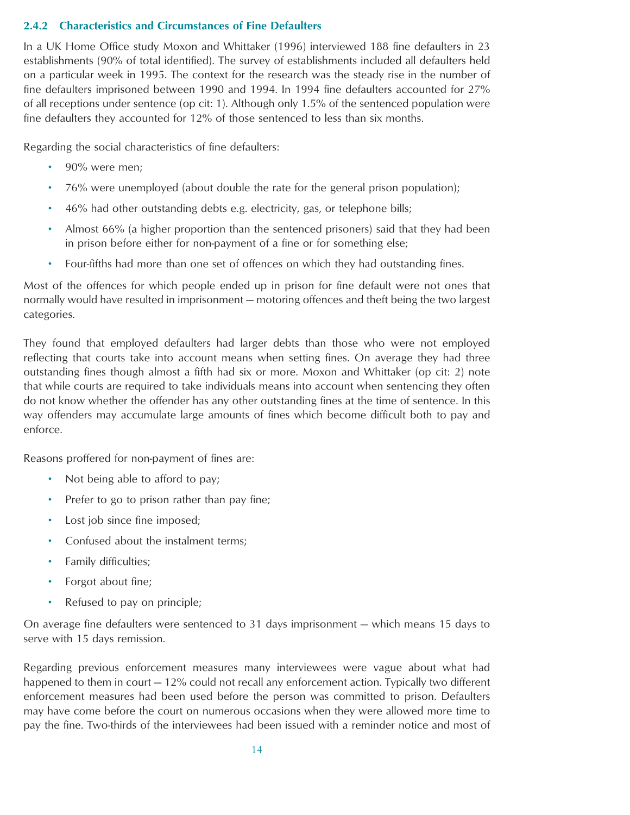#### **2.4.2 Characteristics and Circumstances of Fine Defaulters**

In a UK Home Office study Moxon and Whittaker (1996) interviewed 188 fine defaulters in 23 establishments (90% of total identified). The survey of establishments included all defaulters held on a particular week in 1995. The context for the research was the steady rise in the number of fine defaulters imprisoned between 1990 and 1994. In 1994 fine defaulters accounted for 27% of all receptions under sentence (op cit: 1). Although only 1.5% of the sentenced population were fine defaulters they accounted for 12% of those sentenced to less than six months.

Regarding the social characteristics of fine defaulters:

- 90% were men;
- 76% were unemployed (about double the rate for the general prison population);
- 46% had other outstanding debts e.g. electricity, gas, or telephone bills;
- Almost 66% (a higher proportion than the sentenced prisoners) said that they had been in prison before either for non-payment of a fine or for something else;
- Four-fifths had more than one set of offences on which they had outstanding fines.

Most of the offences for which people ended up in prison for fine default were not ones that normally would have resulted in imprisonment — motoring offences and theft being the two largest categories.

They found that employed defaulters had larger debts than those who were not employed reflecting that courts take into account means when setting fines. On average they had three outstanding fines though almost a fifth had six or more. Moxon and Whittaker (op cit: 2) note that while courts are required to take individuals means into account when sentencing they often do not know whether the offender has any other outstanding fines at the time of sentence. In this way offenders may accumulate large amounts of fines which become difficult both to pay and enforce.

Reasons proffered for non-payment of fines are:

- Not being able to afford to pay;
- Prefer to go to prison rather than pay fine;
- Lost job since fine imposed;
- Confused about the instalment terms;
- Family difficulties;
- Forgot about fine;
- Refused to pay on principle;

On average fine defaulters were sentenced to 31 days imprisonment — which means 15 days to serve with 15 days remission.

Regarding previous enforcement measures many interviewees were vague about what had happened to them in court – 12% could not recall any enforcement action. Typically two different enforcement measures had been used before the person was committed to prison. Defaulters may have come before the court on numerous occasions when they were allowed more time to pay the fine. Two-thirds of the interviewees had been issued with a reminder notice and most of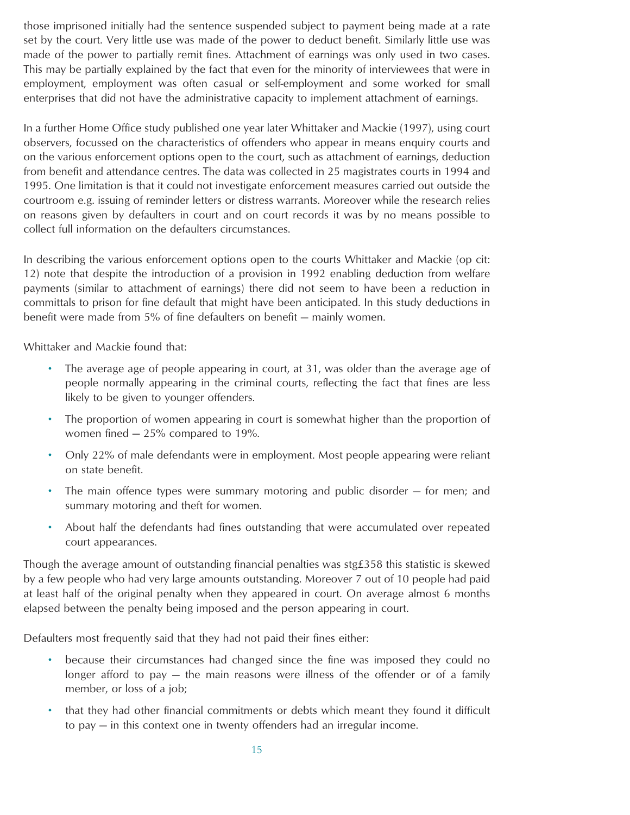those imprisoned initially had the sentence suspended subject to payment being made at a rate set by the court. Very little use was made of the power to deduct benefit. Similarly little use was made of the power to partially remit fines. Attachment of earnings was only used in two cases. This may be partially explained by the fact that even for the minority of interviewees that were in employment, employment was often casual or self-employment and some worked for small enterprises that did not have the administrative capacity to implement attachment of earnings.

In a further Home Office study published one year later Whittaker and Mackie (1997), using court observers, focussed on the characteristics of offenders who appear in means enquiry courts and on the various enforcement options open to the court, such as attachment of earnings, deduction from benefit and attendance centres. The data was collected in 25 magistrates courts in 1994 and 1995. One limitation is that it could not investigate enforcement measures carried out outside the courtroom e.g. issuing of reminder letters or distress warrants. Moreover while the research relies on reasons given by defaulters in court and on court records it was by no means possible to collect full information on the defaulters circumstances.

In describing the various enforcement options open to the courts Whittaker and Mackie (op cit: 12) note that despite the introduction of a provision in 1992 enabling deduction from welfare payments (similar to attachment of earnings) there did not seem to have been a reduction in committals to prison for fine default that might have been anticipated. In this study deductions in benefit were made from 5% of fine defaulters on benefit — mainly women.

Whittaker and Mackie found that:

- The average age of people appearing in court, at 31, was older than the average age of people normally appearing in the criminal courts, reflecting the fact that fines are less likely to be given to younger offenders.
- The proportion of women appearing in court is somewhat higher than the proportion of women fined — 25% compared to 19%.
- Only 22% of male defendants were in employment. Most people appearing were reliant on state benefit.
- The main offence types were summary motoring and public disorder for men; and summary motoring and theft for women.
- About half the defendants had fines outstanding that were accumulated over repeated court appearances.

Though the average amount of outstanding financial penalties was stg£358 this statistic is skewed by a few people who had very large amounts outstanding. Moreover 7 out of 10 people had paid at least half of the original penalty when they appeared in court. On average almost 6 months elapsed between the penalty being imposed and the person appearing in court.

Defaulters most frequently said that they had not paid their fines either:

- because their circumstances had changed since the fine was imposed they could no longer afford to pay — the main reasons were illness of the offender or of a family member, or loss of a job;
- that they had other financial commitments or debts which meant they found it difficult to pay — in this context one in twenty offenders had an irregular income.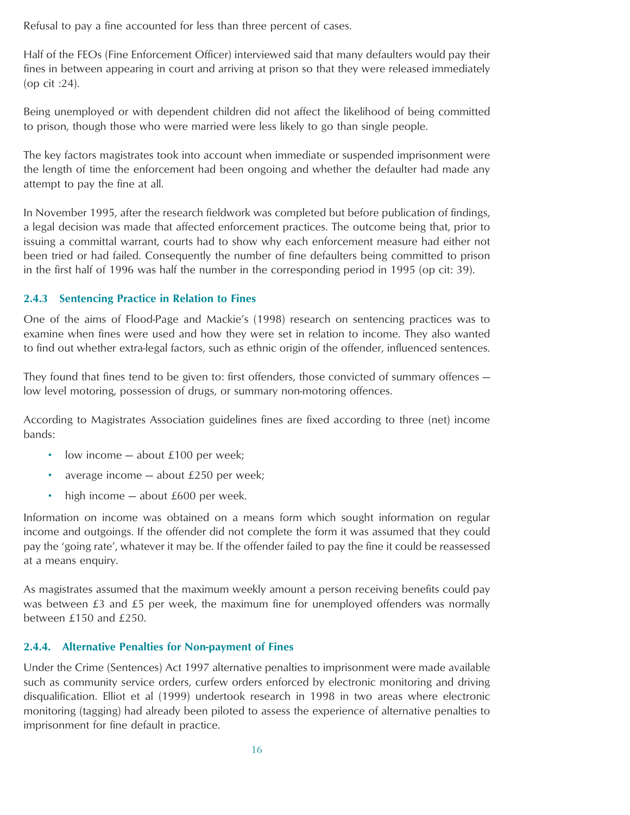Refusal to pay a fine accounted for less than three percent of cases.

Half of the FEOs (Fine Enforcement Officer) interviewed said that many defaulters would pay their fines in between appearing in court and arriving at prison so that they were released immediately (op cit :24).

Being unemployed or with dependent children did not affect the likelihood of being committed to prison, though those who were married were less likely to go than single people.

The key factors magistrates took into account when immediate or suspended imprisonment were the length of time the enforcement had been ongoing and whether the defaulter had made any attempt to pay the fine at all.

In November 1995, after the research fieldwork was completed but before publication of findings, a legal decision was made that affected enforcement practices. The outcome being that, prior to issuing a committal warrant, courts had to show why each enforcement measure had either not been tried or had failed. Consequently the number of fine defaulters being committed to prison in the first half of 1996 was half the number in the corresponding period in 1995 (op cit: 39).

#### **2.4.3 Sentencing Practice in Relation to Fines**

One of the aims of Flood-Page and Mackie's (1998) research on sentencing practices was to examine when fines were used and how they were set in relation to income. They also wanted to find out whether extra-legal factors, such as ethnic origin of the offender, influenced sentences.

They found that fines tend to be given to: first offenders, those convicted of summary offences low level motoring, possession of drugs, or summary non-motoring offences.

According to Magistrates Association guidelines fines are fixed according to three (net) income bands:

- low income about £100 per week;
- average income about £250 per week;
- high income about £600 per week.

Information on income was obtained on a means form which sought information on regular income and outgoings. If the offender did not complete the form it was assumed that they could pay the 'going rate', whatever it may be. If the offender failed to pay the fine it could be reassessed at a means enquiry.

As magistrates assumed that the maximum weekly amount a person receiving benefits could pay was between £3 and £5 per week, the maximum fine for unemployed offenders was normally between £150 and £250.

#### **2.4.4. Alternative Penalties for Non-payment of Fines**

Under the Crime (Sentences) Act 1997 alternative penalties to imprisonment were made available such as community service orders, curfew orders enforced by electronic monitoring and driving disqualification. Elliot et al (1999) undertook research in 1998 in two areas where electronic monitoring (tagging) had already been piloted to assess the experience of alternative penalties to imprisonment for fine default in practice.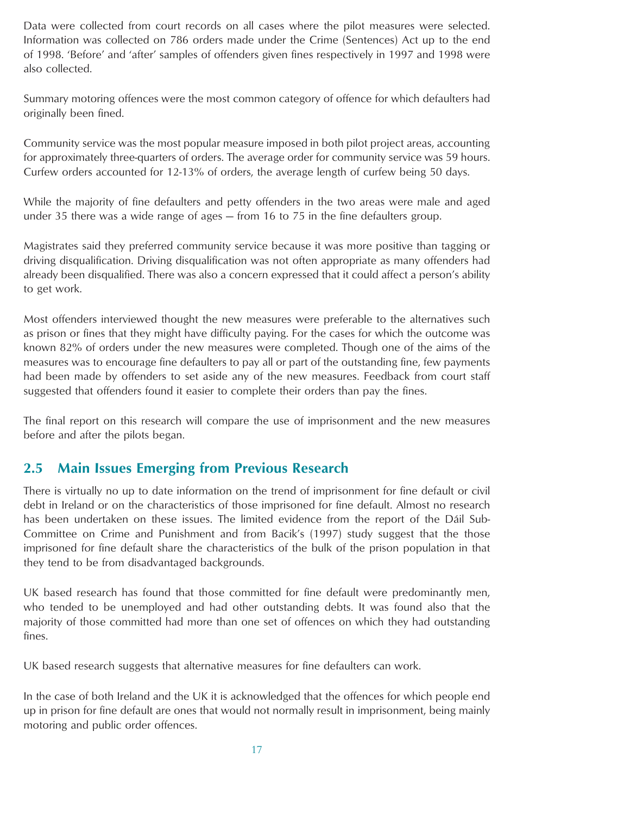<span id="page-16-0"></span>Data were collected from court records on all cases where the pilot measures were selected. Information was collected on 786 orders made under the Crime (Sentences) Act up to the end of 1998. 'Before' and 'after' samples of offenders given fines respectively in 1997 and 1998 were also collected.

Summary motoring offences were the most common category of offence for which defaulters had originally been fined.

Community service was the most popular measure imposed in both pilot project areas, accounting for approximately three-quarters of orders. The average order for community service was 59 hours. Curfew orders accounted for 12-13% of orders, the average length of curfew being 50 days.

While the majority of fine defaulters and petty offenders in the two areas were male and aged under 35 there was a wide range of ages — from 16 to 75 in the fine defaulters group.

Magistrates said they preferred community service because it was more positive than tagging or driving disqualification. Driving disqualification was not often appropriate as many offenders had already been disqualified. There was also a concern expressed that it could affect a person's ability to get work.

Most offenders interviewed thought the new measures were preferable to the alternatives such as prison or fines that they might have difficulty paying. For the cases for which the outcome was known 82% of orders under the new measures were completed. Though one of the aims of the measures was to encourage fine defaulters to pay all or part of the outstanding fine, few payments had been made by offenders to set aside any of the new measures. Feedback from court staff suggested that offenders found it easier to complete their orders than pay the fines.

The final report on this research will compare the use of imprisonment and the new measures before and after the pilots began.

## **2.5 Main Issues Emerging from Previous Research**

There is virtually no up to date information on the trend of imprisonment for fine default or civil debt in Ireland or on the characteristics of those imprisoned for fine default. Almost no research has been undertaken on these issues. The limited evidence from the report of the Dáil Sub-Committee on Crime and Punishment and from Bacik's (1997) study suggest that the those imprisoned for fine default share the characteristics of the bulk of the prison population in that they tend to be from disadvantaged backgrounds.

UK based research has found that those committed for fine default were predominantly men, who tended to be unemployed and had other outstanding debts. It was found also that the majority of those committed had more than one set of offences on which they had outstanding fines.

UK based research suggests that alternative measures for fine defaulters can work.

In the case of both Ireland and the UK it is acknowledged that the offences for which people end up in prison for fine default are ones that would not normally result in imprisonment, being mainly motoring and public order offences.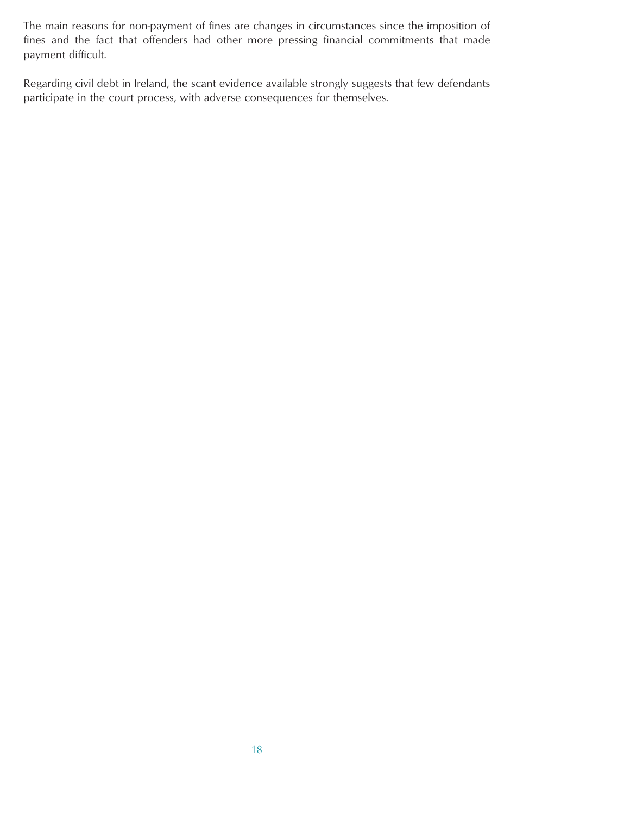The main reasons for non-payment of fines are changes in circumstances since the imposition of fines and the fact that offenders had other more pressing financial commitments that made payment difficult.

Regarding civil debt in Ireland, the scant evidence available strongly suggests that few defendants participate in the court process, with adverse consequences for themselves.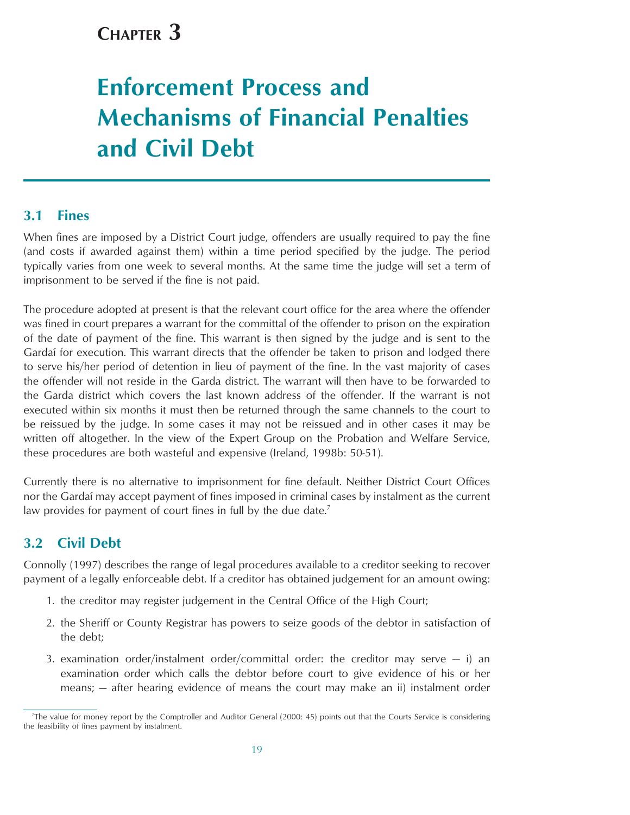## <span id="page-18-0"></span>**CHAPTER 3**

# **Enforcement Process and Mechanisms of Financial Penalties and Civil Debt**

## **3.1 Fines**

When fines are imposed by a District Court judge, offenders are usually required to pay the fine (and costs if awarded against them) within a time period specified by the judge. The period typically varies from one week to several months. At the same time the judge will set a term of imprisonment to be served if the fine is not paid.

The procedure adopted at present is that the relevant court office for the area where the offender was fined in court prepares a warrant for the committal of the offender to prison on the expiration of the date of payment of the fine. This warrant is then signed by the judge and is sent to the Gardai for execution. This warrant directs that the offender be taken to prison and lodged there to serve his/her period of detention in lieu of payment of the fine. In the vast majority of cases the offender will not reside in the Garda district. The warrant will then have to be forwarded to the Garda district which covers the last known address of the offender. If the warrant is not executed within six months it must then be returned through the same channels to the court to be reissued by the judge. In some cases it may not be reissued and in other cases it may be written off altogether. In the view of the Expert Group on the Probation and Welfare Service, these procedures are both wasteful and expensive (Ireland, 1998b: 50-51).

Currently there is no alternative to imprisonment for fine default. Neither District Court Offices nor the Gardai may accept payment of fines imposed in criminal cases by instalment as the current law provides for payment of court fines in full by the due date.<sup>7</sup>

## **3.2 Civil Debt**

Connolly (1997) describes the range of Iegal procedures available to a creditor seeking to recover payment of a legally enforceable debt. If a creditor has obtained judgement for an amount owing:

- 1. the creditor may register judgement in the Central Office of the High Court;
- 2. the Sheriff or County Registrar has powers to seize goods of the debtor in satisfaction of the debt;
- 3. examination order/instalment order/committal order: the creditor may serve  $-$  i) an examination order which calls the debtor before court to give evidence of his or her means; — after hearing evidence of means the court may make an ii) instalment order

<sup>7</sup> The value for money report by the Comptroller and Auditor General (2000: 45) points out that the Courts Service is considering the feasibility of fines payment by instalment.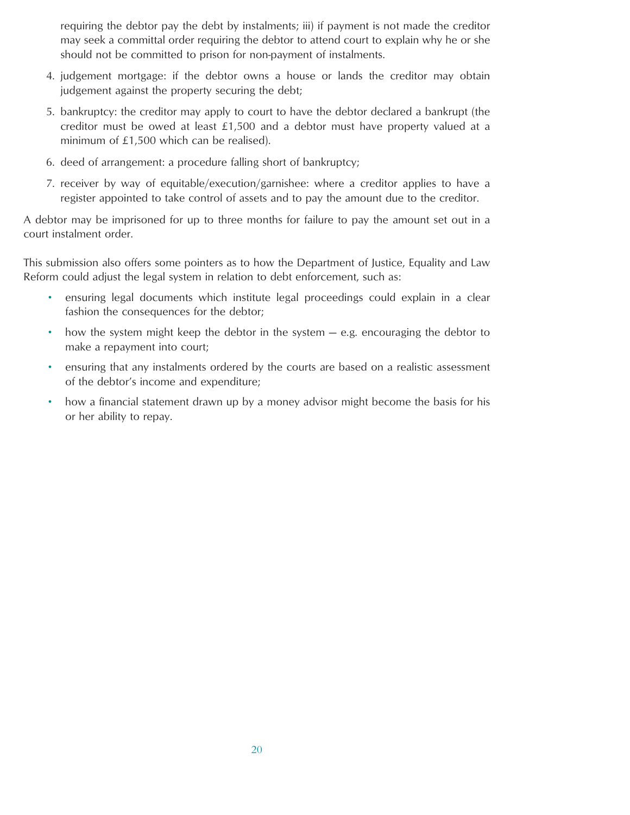requiring the debtor pay the debt by instalments; iii) if payment is not made the creditor may seek a committal order requiring the debtor to attend court to explain why he or she should not be committed to prison for non-payment of instalments.

- 4. judgement mortgage: if the debtor owns a house or lands the creditor may obtain judgement against the property securing the debt;
- 5. bankruptcy: the creditor may apply to court to have the debtor declared a bankrupt (the creditor must be owed at least £1,500 and a debtor must have property valued at a minimum of £1,500 which can be realised).
- 6. deed of arrangement: a procedure falling short of bankruptcy;
- 7. receiver by way of equitable/execution/garnishee: where a creditor applies to have a register appointed to take control of assets and to pay the amount due to the creditor.

A debtor may be imprisoned for up to three months for failure to pay the amount set out in a court instalment order.

This submission also offers some pointers as to how the Department of Justice, Equality and Law Reform could adjust the legal system in relation to debt enforcement, such as:

- ensuring legal documents which institute legal proceedings could explain in a clear fashion the consequences for the debtor;
- how the system might keep the debtor in the system e.g. encouraging the debtor to make a repayment into court;
- ensuring that any instalments ordered by the courts are based on a realistic assessment of the debtor's income and expenditure;
- how a financial statement drawn up by a money advisor might become the basis for his or her ability to repay.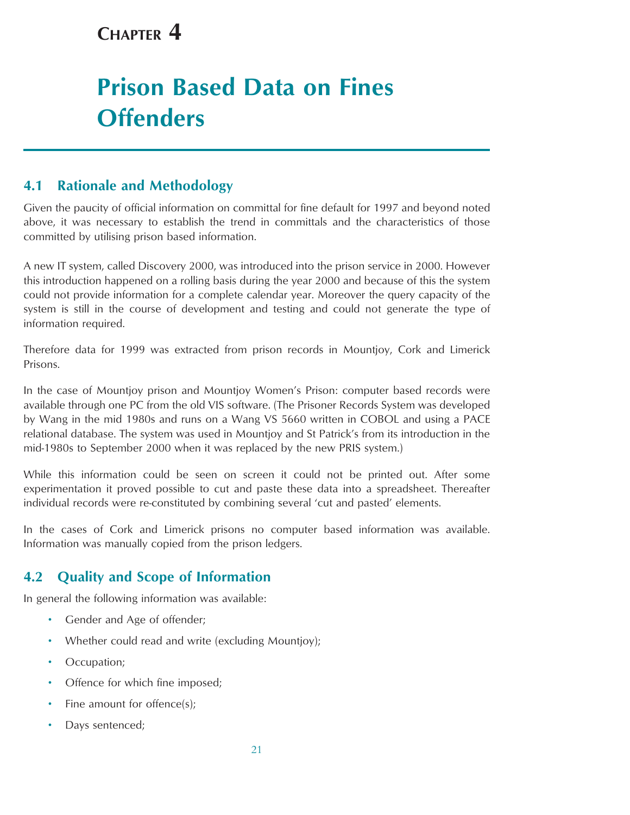## <span id="page-20-0"></span>**CHAPTER 4**

## **Prison Based Data on Fines Offenders**

## **4.1 Rationale and Methodology**

Given the paucity of official information on committal for fine default for 1997 and beyond noted above, it was necessary to establish the trend in committals and the characteristics of those committed by utilising prison based information.

A new IT system, called Discovery 2000, was introduced into the prison service in 2000. However this introduction happened on a rolling basis during the year 2000 and because of this the system could not provide information for a complete calendar year. Moreover the query capacity of the system is still in the course of development and testing and could not generate the type of information required.

Therefore data for 1999 was extracted from prison records in Mountjoy, Cork and Limerick Prisons.

In the case of Mountjoy prison and Mountjoy Women's Prison: computer based records were available through one PC from the old VIS software. (The Prisoner Records System was developed by Wang in the mid 1980s and runs on a Wang VS 5660 written in COBOL and using a PACE relational database. The system was used in Mountjoy and St Patrick's from its introduction in the mid-1980s to September 2000 when it was replaced by the new PRIS system.)

While this information could be seen on screen it could not be printed out. After some experimentation it proved possible to cut and paste these data into a spreadsheet. Thereafter individual records were re-constituted by combining several 'cut and pasted' elements.

In the cases of Cork and Limerick prisons no computer based information was available. Information was manually copied from the prison ledgers.

## **4.2 Quality and Scope of Information**

In general the following information was available:

- Gender and Age of offender;
- Whether could read and write (excluding Mountjoy);
- Occupation;
- Offence for which fine imposed;
- Fine amount for offence(s);
- Days sentenced;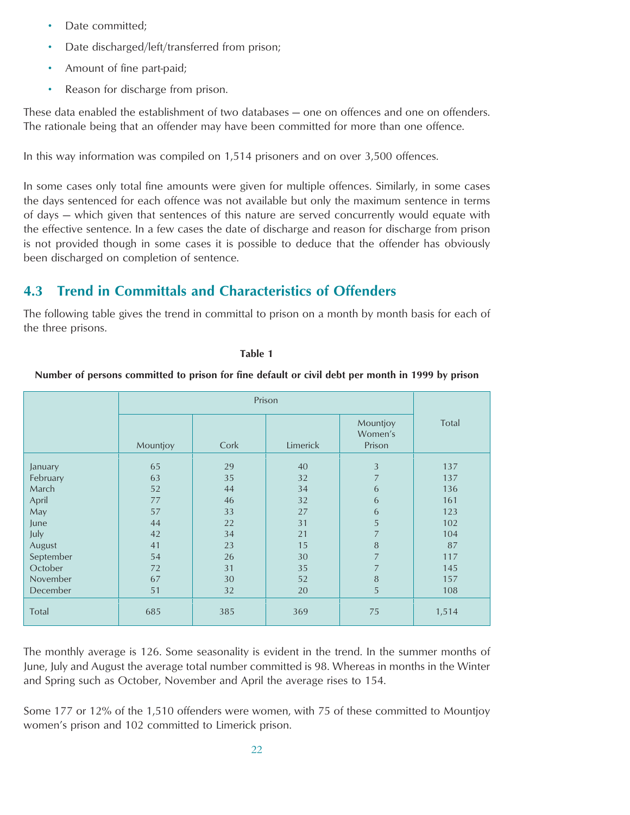- <span id="page-21-0"></span>Date committed;
- Date discharged/left/transferred from prison;
- Amount of fine part-paid;
- Reason for discharge from prison.

These data enabled the establishment of two databases — one on offences and one on offenders. The rationale being that an offender may have been committed for more than one offence.

In this way information was compiled on 1,514 prisoners and on over 3,500 offences.

In some cases only total fine amounts were given for multiple offences. Similarly, in some cases the days sentenced for each offence was not available but only the maximum sentence in terms of days — which given that sentences of this nature are served concurrently would equate with the effective sentence. In a few cases the date of discharge and reason for discharge from prison is not provided though in some cases it is possible to deduce that the offender has obviously been discharged on completion of sentence.

## **4.3 Trend in Committals and Characteristics of Offenders**

The following table gives the trend in committal to prison on a month by month basis for each of the three prisons.

#### **Table 1**

## **Number of persons committed to prison for fine default or civil debt per month in 1999 by prison**

|           | Mountjoy | Cork | Limerick | Mountjoy<br>Women's<br>Prison | Total |
|-----------|----------|------|----------|-------------------------------|-------|
| January   | 65       | 29   | 40       | 3                             | 137   |
| February  | 63       | 35   | 32       | $\overline{7}$                | 137   |
| March     | 52       | 44   | 34       | 6                             | 136   |
| April     | 77       | 46   | 32       | 6                             | 161   |
| May       | 57       | 33   | 27       | 6                             | 123   |
| June      | 44       | 22   | 31       | 5                             | 102   |
| July      | 42       | 34   | 21       | 7                             | 104   |
| August    | 41       | 23   | 15       | $\, 8$                        | 87    |
| September | 54       | 26   | 30       | $\overline{7}$                | 117   |
| October   | 72       | 31   | 35       | $\overline{7}$                | 145   |
| November  | 67       | 30   | 52       | $\, 8$                        | 157   |
| December  | 51       | 32   | 20       | 5                             | 108   |
| Total     | 685      | 385  | 369      | 75                            | 1,514 |

The monthly average is 126. Some seasonality is evident in the trend. In the summer months of June, July and August the average total number committed is 98. Whereas in months in the Winter and Spring such as October, November and April the average rises to 154.

Some 177 or 12% of the 1,510 offenders were women, with 75 of these committed to Mountjoy women's prison and 102 committed to Limerick prison.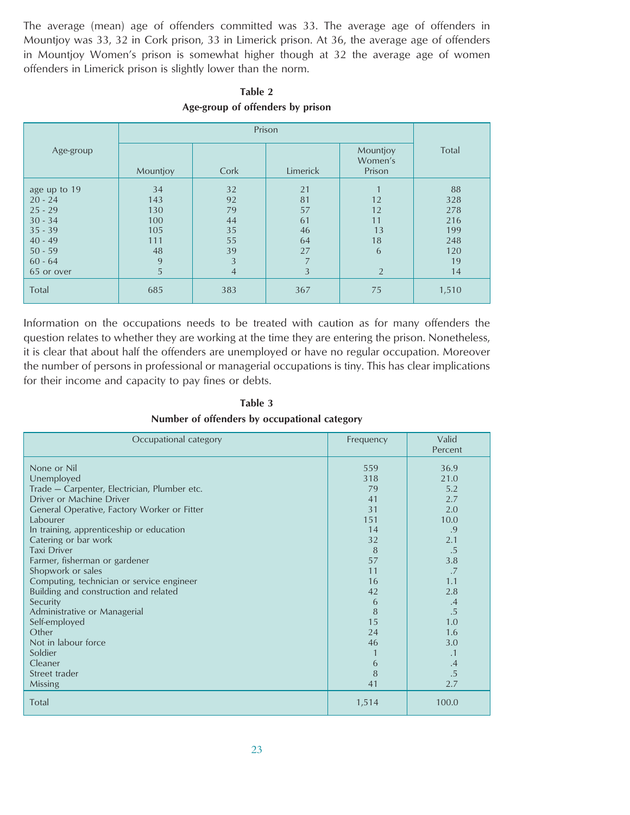The average (mean) age of offenders committed was 33. The average age of offenders in Mountjoy was 33, 32 in Cork prison, 33 in Limerick prison. At 36, the average age of offenders in Mountjoy Women's prison is somewhat higher though at 32 the average age of women offenders in Limerick prison is slightly lower than the norm.

| Age-group                                                                                                             | Mountjoy                                              | Cork                                                          | Limerick                                    | Mountjoy<br>Women's<br>Prison                     | Total                                                    |
|-----------------------------------------------------------------------------------------------------------------------|-------------------------------------------------------|---------------------------------------------------------------|---------------------------------------------|---------------------------------------------------|----------------------------------------------------------|
| age up to 19<br>$20 - 24$<br>$25 - 29$<br>$30 - 34$<br>$35 - 39$<br>$40 - 49$<br>$50 - 59$<br>$60 - 64$<br>65 or over | 34<br>143<br>130<br>100<br>105<br>111<br>48<br>9<br>5 | 32<br>92<br>79<br>44<br>35<br>55<br>39<br>3<br>$\overline{4}$ | 21<br>81<br>57<br>61<br>46<br>64<br>27<br>3 | 12<br>12<br>11<br>13<br>18<br>6<br>$\overline{2}$ | 88<br>328<br>278<br>216<br>199<br>248<br>120<br>19<br>14 |
| Total                                                                                                                 | 685                                                   | 383                                                           | 367                                         | 75                                                | 1,510                                                    |

**Table 2 Age-group of offenders by prison**

Information on the occupations needs to be treated with caution as for many offenders the question relates to whether they are working at the time they are entering the prison. Nonetheless, it is clear that about half the offenders are unemployed or have no regular occupation. Moreover the number of persons in professional or managerial occupations is tiny. This has clear implications for their income and capacity to pay fines or debts.

**Table 3 Number of offenders by occupational category**

| Occupational category                                                                                                                                                                                                                                                                                                                                                                                                                                                                                                                      | Frequency                                                                                                          | Valid<br>Percent                                                                                                                                |
|--------------------------------------------------------------------------------------------------------------------------------------------------------------------------------------------------------------------------------------------------------------------------------------------------------------------------------------------------------------------------------------------------------------------------------------------------------------------------------------------------------------------------------------------|--------------------------------------------------------------------------------------------------------------------|-------------------------------------------------------------------------------------------------------------------------------------------------|
| None or Nil<br>Unemployed<br>Trade - Carpenter, Electrician, Plumber etc.<br>Driver or Machine Driver<br>General Operative, Factory Worker or Fitter<br>Labourer<br>In training, apprenticeship or education<br>Catering or bar work<br><b>Taxi Driver</b><br>Farmer, fisherman or gardener<br>Shopwork or sales<br>Computing, technician or service engineer<br>Building and construction and related<br>Security<br>Administrative or Managerial<br>Self-employed<br>Other<br>Not in labour force<br>Soldier<br>Cleaner<br>Street trader | 559<br>318<br>79<br>41<br>31<br>151<br>14<br>32<br>8<br>57<br>11<br>16<br>42<br>6<br>8<br>15<br>24<br>46<br>6<br>8 | 36.9<br>21.0<br>5.2<br>2.7<br>2.0<br>10.0<br>.9<br>2.1<br>.5<br>3.8<br>.7<br>1.1<br>2.8<br>.4<br>.5<br>1.0<br>1.6<br>3.0<br>.1<br>$\cdot$<br>.5 |
| Missing<br>Total                                                                                                                                                                                                                                                                                                                                                                                                                                                                                                                           | 41<br>1,514                                                                                                        | 2.7<br>100.0                                                                                                                                    |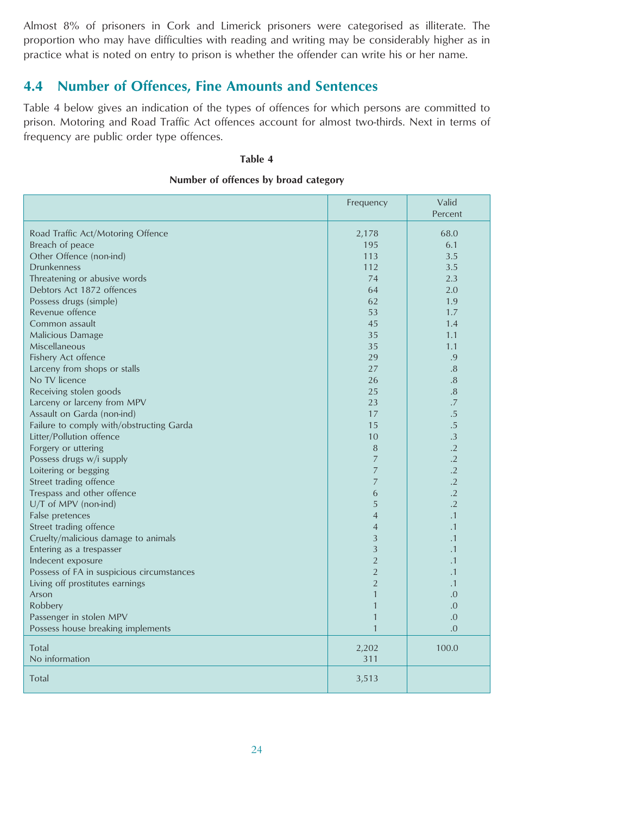<span id="page-23-0"></span>Almost 8% of prisoners in Cork and Limerick prisoners were categorised as illiterate. The proportion who may have difficulties with reading and writing may be considerably higher as in practice what is noted on entry to prison is whether the offender can write his or her name.

## **4.4 Number of Offences, Fine Amounts and Sentences**

Table 4 below gives an indication of the types of offences for which persons are committed to prison. Motoring and Road Traffic Act offences account for almost two-thirds. Next in terms of frequency are public order type offences.

#### **Table 4**

#### **Number of offences by broad category**

|                                           | Frequency      | Valid<br>Percent |
|-------------------------------------------|----------------|------------------|
| Road Traffic Act/Motoring Offence         | 2,178          | 68.0             |
| Breach of peace                           | 195            | 6.1              |
| Other Offence (non-ind)                   | 113            | 3.5              |
| <b>Drunkenness</b>                        | 112            | 3.5              |
| Threatening or abusive words              | 74             | 2.3              |
| Debtors Act 1872 offences                 | 64             | 2.0              |
| Possess drugs (simple)                    | 62             | 1.9              |
| Revenue offence                           | 53             | 1.7              |
| Common assault                            | 45             | 1.4              |
| <b>Malicious Damage</b>                   | 35             | 1.1              |
| Miscellaneous                             | 35             | 1.1              |
| Fishery Act offence                       | 29             | .9               |
| Larceny from shops or stalls              | 27             | .8               |
| No TV licence                             | 26             | .8               |
| Receiving stolen goods                    | 25             | .8               |
| Larceny or larceny from MPV               | 23             | .7               |
| Assault on Garda (non-ind)                | 17             | .5               |
| Failure to comply with/obstructing Garda  | 15             | $.5\,$           |
| Litter/Pollution offence                  | 10             | $\cdot$ 3        |
| Forgery or uttering                       | 8              | $\cdot$ .2       |
| Possess drugs w/i supply                  | $\overline{7}$ | $\cdot$ .2       |
| Loitering or begging                      | 7              | $\cdot$ .2       |
| Street trading offence                    | $\overline{7}$ | $\cdot$ .2       |
| Trespass and other offence                | 6              | $\cdot$ .2       |
| U/T of MPV (non-ind)                      | 5              | $\cdot$ .2       |
| False pretences                           | $\overline{4}$ | $\cdot$ 1        |
| Street trading offence                    | $\overline{4}$ | $\cdot$ 1        |
| Cruelty/malicious damage to animals       | 3              | $\cdot$ 1        |
| Entering as a trespasser                  | 3              | $\cdot$ 1        |
| Indecent exposure                         | $\overline{2}$ | $\cdot$ 1        |
| Possess of FA in suspicious circumstances | $\overline{2}$ | $\cdot$ 1        |
| Living off prostitutes earnings           | $\overline{2}$ | $\cdot$ 1        |
| Arson                                     | 1              | 0.               |
| Robbery                                   | 1              | .0               |
| Passenger in stolen MPV                   | 1              | .0               |
| Possess house breaking implements         | $\mathbf{1}$   | .0               |
| Total                                     | 2,202          | 100.0            |
| No information                            | 311            |                  |
|                                           |                |                  |
| Total                                     | 3,513          |                  |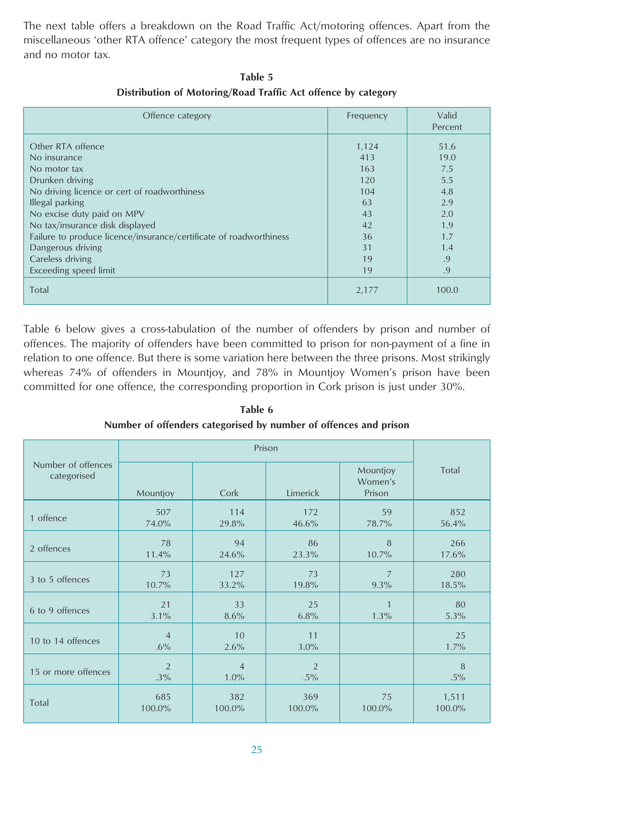The next table offers a breakdown on the Road Traffic Act/motoring offences. Apart from the miscellaneous 'other RTA offence' category the most frequent types of offences are no insurance and no motor tax.

| Offence category                                                   | Frequency | Valid<br>Percent |
|--------------------------------------------------------------------|-----------|------------------|
| Other RTA offence                                                  | 1,124     | 51.6             |
| No insurance                                                       | 413       | 19.0             |
| No motor tax                                                       | 163       | 7.5              |
| Drunken driving                                                    | 120       | 5.5              |
| No driving licence or cert of roadworthiness                       | 104       | 4.8              |
| Illegal parking                                                    | 63        | 2.9              |
| No excise duty paid on MPV                                         | 43        | 2.0              |
| No tax/insurance disk displayed                                    | 42        | 1.9              |
| Failure to produce licence/insurance/certificate of roadworthiness | 36        | 1.7              |
| Dangerous driving                                                  | 31        | 1.4              |
| Careless driving                                                   | 19        | .9               |
| Exceeding speed limit                                              | 19        | .9               |
| Total                                                              | 2,177     | 100.0            |

**Table 5 Distribution of Motoring/Road Traffic Act offence by category**

Table 6 below gives a cross-tabulation of the number of offenders by prison and number of offences. The majority of offenders have been committed to prison for non-payment of a fine in relation to one offence. But there is some variation here between the three prisons. Most strikingly whereas 74% of offenders in Mountjoy, and 78% in Mountjoy Women's prison have been committed for one offence, the corresponding proportion in Cork prison is just under 30%.

Prison Number of offences<br>
Categorised Mountjoy Total Mountjoy Total Mountjoy Total Women's Mountjoy Cork | Limerick | Prison 1 offence  $\begin{array}{|c|c|c|c|c|c|c|}\n\hline\n&507 & 114 & 172 & 59 & 852 \\
&74.0\% & 29.8\% & 46.6\% & 78.7\% & 56.4\% \\\hline\n\end{array}$  $2 \text{ of } 266$   $11.4\%$   $24.6\%$   $23.3\%$   $10.7\%$   $17.6\%$ 73 127 73 7 280 3 to 5 offences 10.7% 33.2% 19.8% 9.3% 18.5%  $21 \t 33 \t 25 \t 1 \t 30 \t 31\%$   $30\%$   $30\%$   $30\%$   $30\%$   $30\%$   $30\%$   $30\%$   $30\%$   $30\%$   $30\%$   $30\%$   $30\%$   $30\%$   $30\%$   $30\%$   $30\%$   $30\%$   $30\%$   $30\%$   $30\%$   $30\%$   $30\%$   $30\%$   $30\%$   $30\%$   $30\%$   $30\%$  10 to 14 offences  $\begin{array}{|c|c|c|c|c|c|}\n\hline\n & 4 & 10 & 11 & 25 \\
 & 6\% & 2.6\% & 3.0\% & 1.7\% \hline\n\end{array}$ 15 or more offences  $\begin{array}{|c|c|c|c|c|}\n\hline\n & 2 & 4 & 2 & 3\% \\
 & 3\% & 1.0\% & 5\% & 5\% \\
\hline\n\end{array}$ 100.0% | 575 | 585 | 382 | 369 | 75 | 1,511<br>100.0% | 100.0% | 100.0% 100.0% | 100.0% | 100.0%

**Table 6 Number of offenders categorised by number of offences and prison**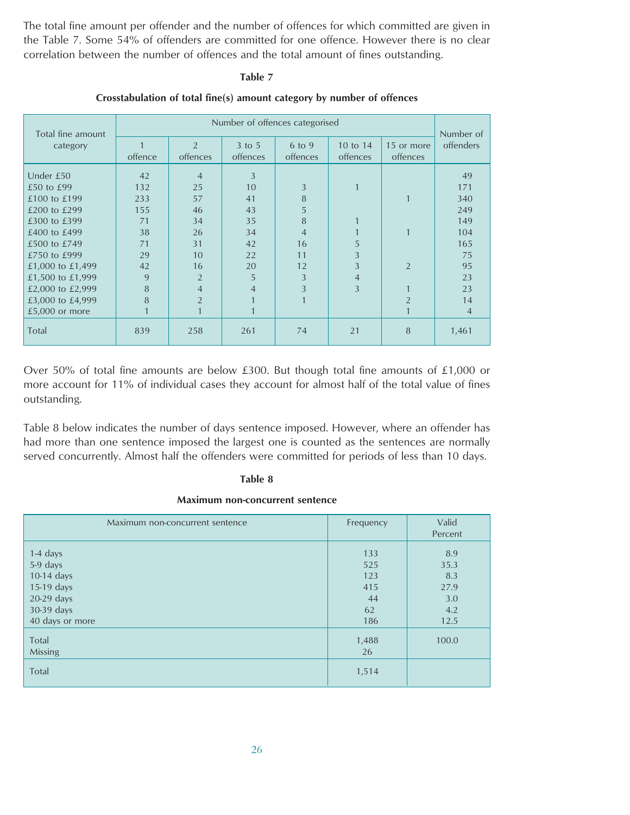The total fine amount per offender and the number of offences for which committed are given in the Table 7. Some 54% of offenders are committed for one offence. However there is no clear correlation between the number of offences and the total amount of fines outstanding.

#### **Table 7**

| Total fine amount | Number of offences categorised |                            |                        |                    |                      |                        |                        |
|-------------------|--------------------------------|----------------------------|------------------------|--------------------|----------------------|------------------------|------------------------|
| category          | offence                        | $\overline{2}$<br>offences | $3$ to $5$<br>offences | 6 to 9<br>offences | 10 to 14<br>offences | 15 or more<br>offences | Number of<br>offenders |
| Under £50         | 42                             | $\overline{4}$             | 3                      |                    |                      |                        | 49                     |
| £50 to £99        | 132                            | 25                         | 10                     | 3                  |                      |                        | 171                    |
| £100 to £199      | 233                            | 57                         | 41                     | 8                  |                      |                        | 340                    |
| £200 to £299      | 155                            | 46                         | 43                     | 5                  |                      |                        | 249                    |
| £300 to £399      | 71                             | 34                         | 35                     | 8                  |                      |                        | 149                    |
| £400 to £499      | 38                             | 26                         | 34                     | 4                  |                      |                        | 104                    |
| £500 to £749      | 71                             | 31                         | 42                     | 16                 | 5                    |                        | 165                    |
| £750 to £999      | 29                             | 10                         | 22                     | 11                 | 3                    |                        | 75                     |
| £1,000 to £1,499  | 42                             | 16                         | 20                     | 12                 |                      | $\mathcal{P}$          | 95                     |
| £1,500 to £1,999  | 9                              | $\overline{2}$             | 5                      | 3                  | 4                    |                        | 23                     |
| £2,000 to £2,999  | 8                              | $\overline{4}$             | 4                      | 3                  | 3                    |                        | 23                     |
| £3,000 to £4,999  | 8                              | $\overline{2}$             |                        |                    |                      |                        | 14                     |
| £5,000 or more    |                                |                            |                        |                    |                      |                        | 4                      |
| Total             | 839                            | 258                        | 261                    | 74                 | 21                   | 8                      | 1,461                  |

#### **Crosstabulation of total fine(s) amount category by number of offences**

Over 50% of total fine amounts are below £300. But though total fine amounts of £1,000 or more account for 11% of individual cases they account for almost half of the total value of fines outstanding.

Table 8 below indicates the number of days sentence imposed. However, where an offender has had more than one sentence imposed the largest one is counted as the sentences are normally served concurrently. Almost half the offenders were committed for periods of less than 10 days.

#### **Table 8**

#### **Maximum non-concurrent sentence**

| Maximum non-concurrent sentence                                                                 | Frequency                                   | Valid<br>Percent                                 |
|-------------------------------------------------------------------------------------------------|---------------------------------------------|--------------------------------------------------|
| 1-4 days<br>5-9 days<br>10-14 days<br>15-19 days<br>20-29 days<br>30-39 days<br>40 days or more | 133<br>525<br>123<br>415<br>44<br>62<br>186 | 8.9<br>35.3<br>8.3<br>27.9<br>3.0<br>4.2<br>12.5 |
| Total<br>Missing<br>Total                                                                       | 1,488<br>26<br>1,514                        | 100.0                                            |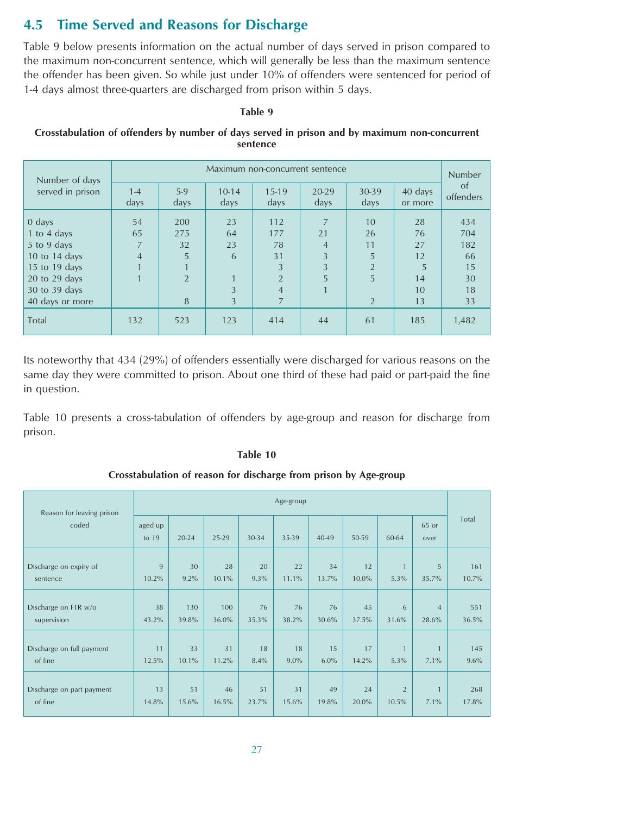## <span id="page-26-0"></span>**4.5 Time Served and Reasons for Discharge**

Table 9 below presents information on the actual number of days served in prison compared to the maximum non-concurrent sentence, which will generally be less than the maximum sentence the offender has been given. So while just under 10% of offenders were sentenced for period of 1-4 days almost three-quarters are discharged from prison within 5 days.

#### **Table 9**

#### **Crosstabulation of offenders by number of days served in prison and by maximum non-concurrent sentence**

| Number of days    | Maximum non-concurrent sentence |                |                 |                 |                |                |                    | Number          |
|-------------------|---------------------------------|----------------|-----------------|-----------------|----------------|----------------|--------------------|-----------------|
| served in prison  | $1 - 4$<br>days                 | $5-9$<br>days  | $10-14$<br>days | $15-19$<br>days | 20-29<br>days  | 30-39<br>days  | 40 days<br>or more | of<br>offenders |
| $0$ days          | 54                              | 200            | 23              | 112             | $\overline{7}$ | 10             | 28                 | 434             |
| 1 to 4 days       | 65                              | 275            | 64              | 177             | 21             | 26             | 76                 | 704             |
| 5 to 9 days       | 7                               | 32             | 23              | 78              | $\overline{4}$ | 11             | 27                 | 182             |
| 10 to 14 days     | $\overline{4}$                  | 5              | 6               | 31              | 3              | 5              | 12                 | 66              |
| 15 to 19 days     |                                 |                |                 | 3               | 3              | $\overline{2}$ | 5                  | 15              |
| $20$ to $29$ days |                                 | $\overline{2}$ |                 | $\overline{2}$  | 5              | 5              | 14                 | 30              |
| 30 to 39 days     |                                 |                | 3               | $\overline{4}$  |                |                | 10                 | 18              |
| 40 days or more   |                                 | 8              | $\overline{3}$  | 7               |                | $\overline{2}$ | 13                 | 33              |
| Total             | 132                             | 523            | 123             | 414             | 44             | 61             | 185                | 1,482           |

Its noteworthy that 434 (29%) of offenders essentially were discharged for various reasons on the same day they were committed to prison. About one third of these had paid or part-paid the fine in question.

Table 10 presents a cross-tabulation of offenders by age-group and reason for discharge from prison.

#### **Table 10**

#### **Crosstabulation of reason for discharge from prison by Age-group**

| Reason for leaving prison | Age-group          |           |       |       |         |           |       |                |                |       |
|---------------------------|--------------------|-----------|-------|-------|---------|-----------|-------|----------------|----------------|-------|
| coded                     | aged up<br>to $19$ | $20 - 24$ | 25-29 | 30-34 | 35-39   | $40 - 49$ | 50-59 | 60-64          | 65 or<br>over  | Total |
| Discharge on expiry of    | 9                  | 30        | 28    | 20    | 22      | 34        | 12    | $\mathbf{1}$   | 5              | 161   |
| sentence                  | 10.2%              | 9.2%      | 10.1% | 9.3%  | 11.1%   | 13.7%     | 10.0% | 5.3%           | 35.7%          | 10.7% |
| Discharge on FTR w/o      | 38                 | 130       | 100   | 76    | 76      | 76        | 45    | 6              | $\overline{4}$ | 551   |
| supervision               | 43.2%              | 39.8%     | 36.0% | 35.3% | 38.2%   | 30.6%     | 37.5% | 31.6%          | 28.6%          | 36.5% |
| Discharge on full payment | 11                 | 33        | 31    | 18    | 18      | 15        | 17    | $\overline{1}$ | $\blacksquare$ | 145   |
| of fine                   | 12.5%              | 10.1%     | 11.2% | 8.4%  | $9.0\%$ | 6.0%      | 14.2% | 5.3%           | 7.1%           | 9.6%  |
| Discharge on part payment | 13                 | 51        | 46    | 51    | 31      | 49        | 24    | $\overline{2}$ | $\overline{1}$ | 268   |
| of fine                   | 14.8%              | 15.6%     | 16.5% | 23.7% | 15.6%   | 19.8%     | 20.0% | 10.5%          | 7.1%           | 17.8% |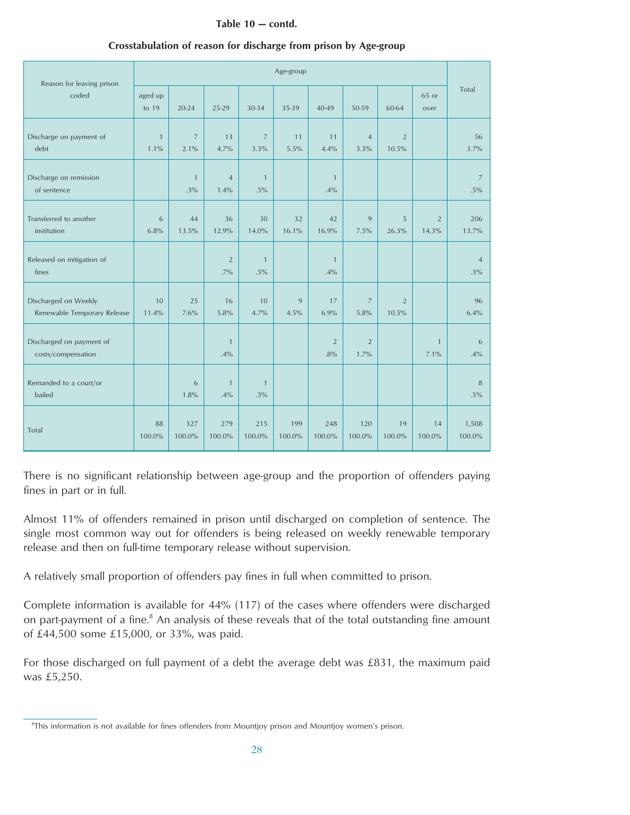#### **Table 10 — contd.**

| Reason for leaving prison                           |                      |                        |                          |                          | Age-group     |                       |                        |                         |                         |                          |
|-----------------------------------------------------|----------------------|------------------------|--------------------------|--------------------------|---------------|-----------------------|------------------------|-------------------------|-------------------------|--------------------------|
| coded                                               | aged up<br>to $19$   | 20-24                  | 25-29                    | 30-34                    | 35-39         | 40-49                 | 50-59                  | 60-64                   | 65 or<br>over           | Total                    |
| Discharge on payment of<br>debt                     | $\mathbf{1}$<br>1.1% | $\overline{7}$<br>2.1% | 13<br>4.7%               | $\overline{7}$<br>3.3%   | 11<br>5.5%    | 11<br>4.4%            | $\overline{4}$<br>3.3% | $\overline{2}$<br>10.5% |                         | 56<br>3.7%               |
| Discharge on remission<br>of sentence               |                      | $\overline{1}$<br>.3%  | $\overline{4}$<br>1.4%   | $\overline{1}$<br>$.5\%$ |               | $\mathbf{1}$<br>.4%   |                        |                         |                         | 7<br>$.5\%$              |
| Transferred to another<br>institution               | 6<br>6.8%            | 44<br>13.5%            | 36<br>12.9%              | 30<br>14.0%              | 32<br>16.1%   | 42<br>16.9%           | 9<br>7.5%              | 5<br>26.3%              | $\overline{2}$<br>14.3% | 206<br>13.7%             |
| Released on mitigation of<br>fines                  |                      |                        | $\overline{2}$<br>$.7\%$ | $\mathbf{1}$<br>.5%      |               | $\mathbf{1}$<br>.4%   |                        |                         |                         | $\overline{4}$<br>$.3\%$ |
| Discharged on Weekly<br>Renewable Temporary Release | 10<br>11.4%          | 25<br>7.6%             | 16<br>5.8%               | 10<br>4.7%               | 9<br>4.5%     | 17<br>6.9%            | $\overline{7}$<br>5.8% | $\overline{2}$<br>10.5% |                         | 96<br>6.4%               |
| Discharged on payment of<br>costs/compensation      |                      |                        | $\mathbf{1}$<br>.4%      |                          |               | $\overline{2}$<br>.8% | $\overline{2}$<br>1.7% |                         | $\mathbf{1}$<br>7.1%    | 6<br>.4%                 |
| Remanded to a court/or<br>bailed                    |                      | 6<br>1.8%              | $\mathbf{1}$<br>.4%      | $\mathbf{1}$<br>$.5\%$   |               |                       |                        |                         |                         | 8<br>.5%                 |
| Total                                               | 88<br>100.0%         | 327<br>100.0%          | 279<br>100.0%            | 215<br>100.0%            | 199<br>100.0% | 248<br>100.0%         | 120<br>100.0%          | 19<br>100.0%            | 14<br>100.0%            | 1,508<br>100.0%          |

#### **Crosstabulation of reason for discharge from prison by Age-group**

There is no significant relationship between age-group and the proportion of offenders paying fines in part or in full.

Almost 11% of offenders remained in prison until discharged on completion of sentence. The single most common way out for offenders is being released on weekly renewable temporary release and then on full-time temporary release without supervision.

A relatively small proportion of offenders pay fines in full when committed to prison.

Complete information is available for 44% (117) of the cases where offenders were discharged on part-payment of a fine.<sup>8</sup> An analysis of these reveals that of the total outstanding fine amount of £44,500 some £15,000, or 33%, was paid.

For those discharged on full payment of a debt the average debt was £831, the maximum paid was £5,250.

<sup>8</sup> This information is not available for fines offenders from Mountjoy prison and Mountjoy women's prison.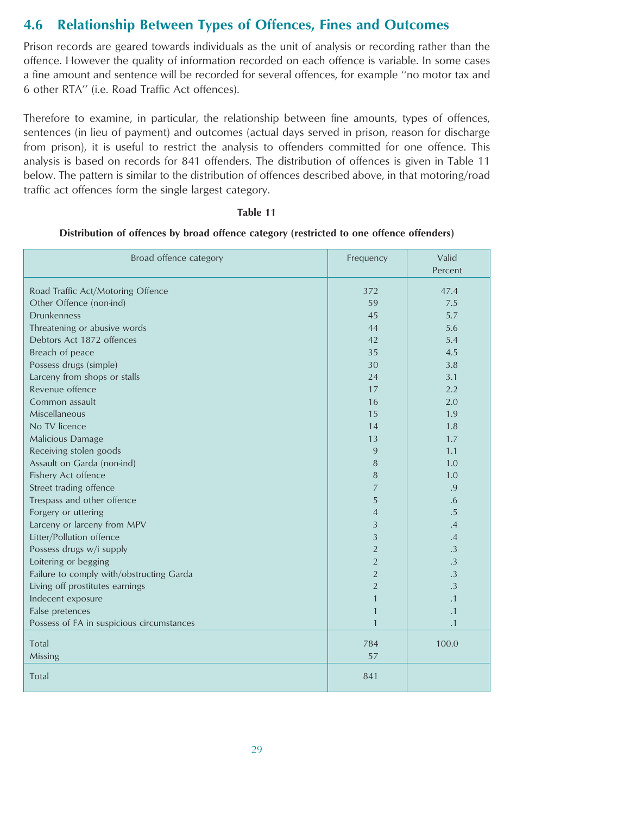## <span id="page-28-0"></span>**4.6 Relationship Between Types of Offences, Fines and Outcomes**

Prison records are geared towards individuals as the unit of analysis or recording rather than the offence. However the quality of information recorded on each offence is variable. In some cases a fine amount and sentence will be recorded for several offences, for example ''no motor tax and 6 other RTA'' (i.e. Road Traffic Act offences).

Therefore to examine, in particular, the relationship between fine amounts, types of offences, sentences (in lieu of payment) and outcomes (actual days served in prison, reason for discharge from prison), it is useful to restrict the analysis to offenders committed for one offence. This analysis is based on records for 841 offenders. The distribution of offences is given in Table 11 below. The pattern is similar to the distribution of offences described above, in that motoring/road traffic act offences form the single largest category.

#### **Table 11**

| Broad offence category                    | Frequency      | Valid<br>Percent |
|-------------------------------------------|----------------|------------------|
| Road Traffic Act/Motoring Offence         | 372            | 47.4             |
| Other Offence (non-ind)                   | 59             | 7.5              |
| <b>Drunkenness</b>                        | 45             | 5.7              |
| Threatening or abusive words              | 44             | 5.6              |
| Debtors Act 1872 offences                 | 42             | 5.4              |
| Breach of peace                           | 35             | 4.5              |
| Possess drugs (simple)                    | 30             | 3.8              |
| Larceny from shops or stalls              | 24             | 3.1              |
| Revenue offence                           | 17             | 2.2              |
| Common assault                            | 16             | 2.0              |
| Miscellaneous                             | 15             | 1.9              |
| No TV licence                             | 14             | 1.8              |
| Malicious Damage                          | 13             | 1.7              |
| Receiving stolen goods                    | 9              | 1.1              |
| Assault on Garda (non-ind)                | 8              | 1.0              |
| Fishery Act offence                       | 8              | 1.0              |
| Street trading offence                    | $\overline{7}$ | .9               |
| Trespass and other offence                | 5              | .6               |
| Forgery or uttering                       | $\overline{4}$ | .5               |
| Larceny or larceny from MPV               | 3              | .4               |
| Litter/Pollution offence                  | 3              | .4               |
| Possess drugs w/i supply                  | $\overline{2}$ | $\cdot$ 3        |
| Loitering or begging                      | $\overline{2}$ | $\cdot$ 3        |
| Failure to comply with/obstructing Garda  | $\overline{2}$ | $\cdot$ 3        |
| Living off prostitutes earnings           | $\overline{2}$ | .3               |
| Indecent exposure                         | 1              | .1               |
| False pretences                           | $\mathbf{1}$   | $\cdot$ 1        |
| Possess of FA in suspicious circumstances | $\mathbf{1}$   | $\cdot$ 1        |
| Total                                     | 784            | 100.0            |
| Missing                                   | 57             |                  |
| Total                                     | 841            |                  |

#### **Distribution of offences by broad offence category (restricted to one offence offenders)**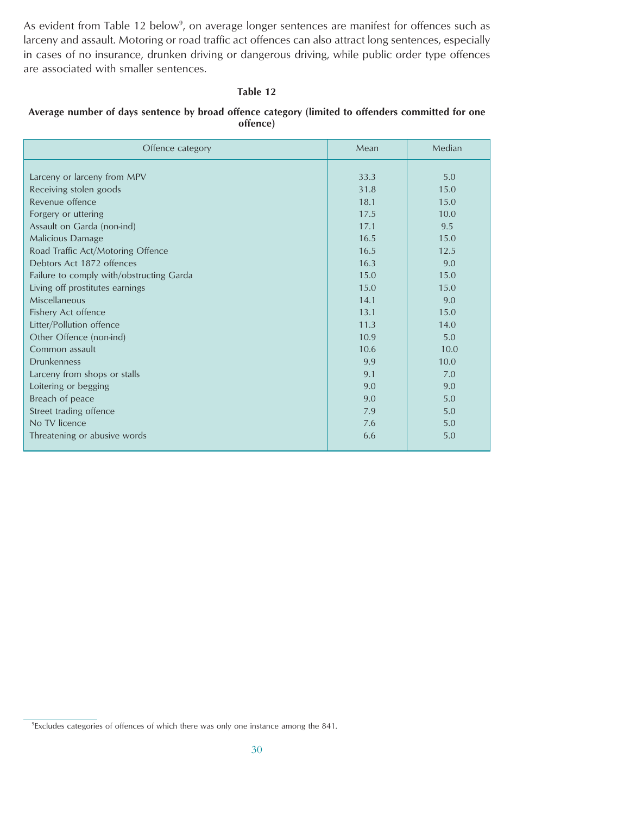As evident from Table 12 below<sup>9</sup>, on average longer sentences are manifest for offences such as larceny and assault. Motoring or road traffic act offences can also attract long sentences, especially in cases of no insurance, drunken driving or dangerous driving, while public order type offences are associated with smaller sentences.

#### **Table 12**

#### **Average number of days sentence by broad offence category (limited to offenders committed for one offence)**

| Offence category                         | Mean | Median |
|------------------------------------------|------|--------|
|                                          |      |        |
| Larceny or larceny from MPV              | 33.3 | 5.0    |
| Receiving stolen goods                   | 31.8 | 15.0   |
| Revenue offence                          | 18.1 | 15.0   |
| Forgery or uttering                      | 17.5 | 10.0   |
| Assault on Garda (non-ind)               | 17.1 | 9.5    |
| Malicious Damage                         | 16.5 | 15.0   |
| Road Traffic Act/Motoring Offence        | 16.5 | 12.5   |
| Debtors Act 1872 offences                | 16.3 | 9.0    |
| Failure to comply with/obstructing Garda | 15.0 | 15.0   |
| Living off prostitutes earnings          | 15.0 | 15.0   |
| Miscellaneous                            | 14.1 | 9.0    |
| Fishery Act offence                      | 13.1 | 15.0   |
| Litter/Pollution offence                 | 11.3 | 14.0   |
| Other Offence (non-ind)                  | 10.9 | 5.0    |
| Common assault                           | 10.6 | 10.0   |
| <b>Drunkenness</b>                       | 9.9  | 10.0   |
| Larceny from shops or stalls             | 9.1  | 7.0    |
| Loitering or begging                     | 9.0  | 9.0    |
| Breach of peace                          | 9.0  | 5.0    |
| Street trading offence                   | 7.9  | 5.0    |
| No TV licence                            | 7.6  | 5.0    |
| Threatening or abusive words             | 6.6  | 5.0    |
|                                          |      |        |

<sup>&</sup>lt;sup>9</sup> Excludes categories of offences of which there was only one instance among the 841.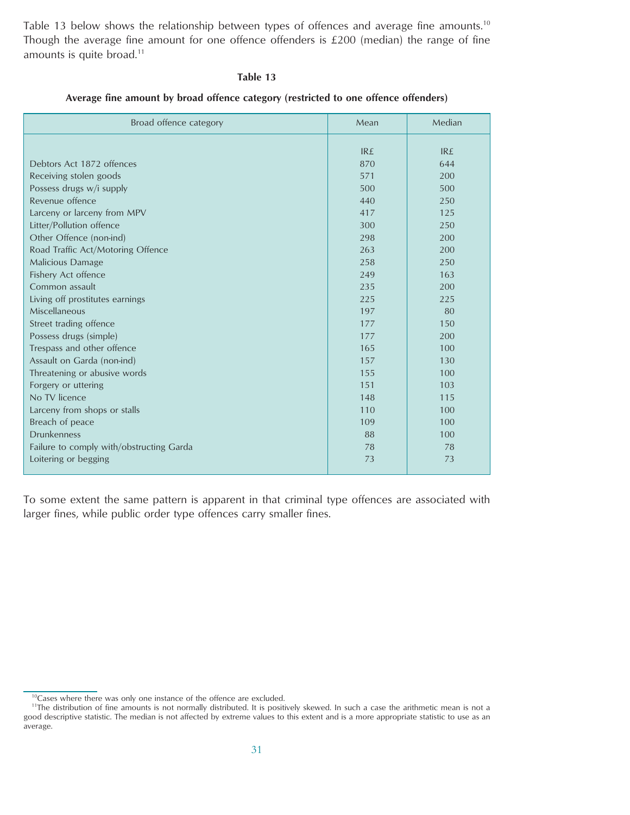Table 13 below shows the relationship between types of offences and average fine amounts.<sup>10</sup> Though the average fine amount for one offence offenders is £200 (median) the range of fine amounts is quite broad.<sup>11</sup>

#### **Table 13**

#### **Average fine amount by broad offence category (restricted to one offence offenders)**

| Broad offence category                             | Mean       | Median     |
|----------------------------------------------------|------------|------------|
|                                                    | <b>IRE</b> | <b>IR£</b> |
| Debtors Act 1872 offences                          | 870        | 644        |
|                                                    | 571        | 200        |
| Receiving stolen goods<br>Possess drugs w/i supply | 500        | 500        |
| Revenue offence                                    | 440        | 250        |
|                                                    | 417        | 125        |
| Larceny or larceny from MPV                        | 300        | 250        |
| Litter/Pollution offence                           | 298        | 200        |
| Other Offence (non-ind)                            | 263        | 200        |
| Road Traffic Act/Motoring Offence                  | 258        | 250        |
| Malicious Damage                                   | 249        | 163        |
| Fishery Act offence<br>Common assault              | 235        | 200        |
|                                                    | 225        | 225        |
| Living off prostitutes earnings<br>Miscellaneous   | 197        | 80         |
| Street trading offence                             | 177        | 150        |
|                                                    | 177        | 200        |
| Possess drugs (simple)                             | 165        | 100        |
| Trespass and other offence                         | 157        | 130        |
| Assault on Garda (non-ind)                         | 155        |            |
| Threatening or abusive words                       | 151        | 100<br>103 |
| Forgery or uttering<br>No TV licence               | 148        |            |
|                                                    |            | 115        |
| Larceny from shops or stalls                       | 110        | 100        |
| Breach of peace                                    | 109        | 100        |
| <b>Drunkenness</b>                                 | 88         | 100        |
| Failure to comply with/obstructing Garda           | 78         | 78         |
| Loitering or begging                               | 73         | 73         |

To some extent the same pattern is apparent in that criminal type offences are associated with larger fines, while public order type offences carry smaller fines.

<sup>&</sup>lt;sup>10</sup>Cases where there was only one instance of the offence are excluded.

<sup>&</sup>lt;sup>11</sup>The distribution of fine amounts is not normally distributed. It is positively skewed. In such a case the arithmetic mean is not a good descriptive statistic. The median is not affected by extreme values to this extent and is a more appropriate statistic to use as an average.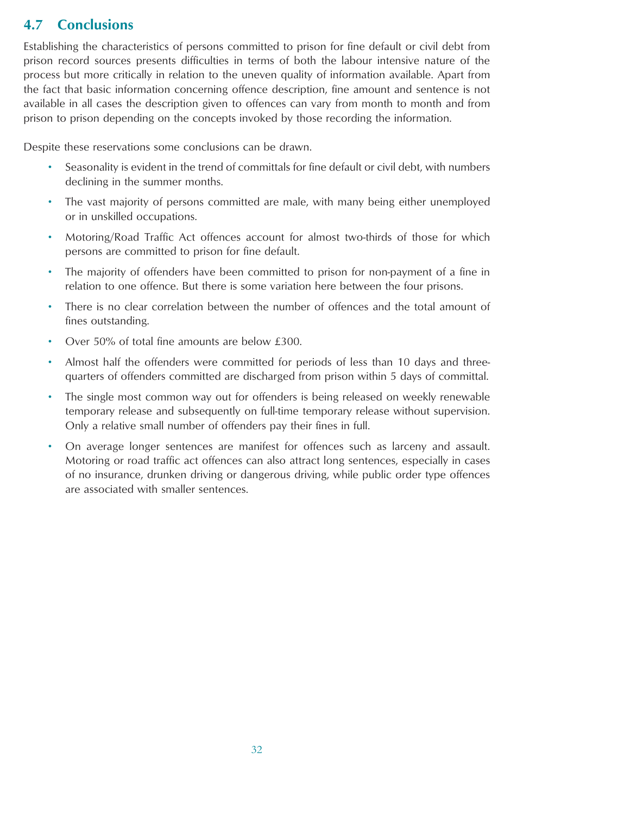## <span id="page-31-0"></span>**4.7 Conclusions**

Establishing the characteristics of persons committed to prison for fine default or civil debt from prison record sources presents difficulties in terms of both the labour intensive nature of the process but more critically in relation to the uneven quality of information available. Apart from the fact that basic information concerning offence description, fine amount and sentence is not available in all cases the description given to offences can vary from month to month and from prison to prison depending on the concepts invoked by those recording the information.

Despite these reservations some conclusions can be drawn.

- Seasonality is evident in the trend of committals for fine default or civil debt, with numbers declining in the summer months.
- The vast majority of persons committed are male, with many being either unemployed or in unskilled occupations.
- Motoring/Road Traffic Act offences account for almost two-thirds of those for which persons are committed to prison for fine default.
- The majority of offenders have been committed to prison for non-payment of a fine in relation to one offence. But there is some variation here between the four prisons.
- There is no clear correlation between the number of offences and the total amount of fines outstanding.
- Over 50% of total fine amounts are below £300.
- Almost half the offenders were committed for periods of less than 10 days and threequarters of offenders committed are discharged from prison within 5 days of committal.
- The single most common way out for offenders is being released on weekly renewable temporary release and subsequently on full-time temporary release without supervision. Only a relative small number of offenders pay their fines in full.
- On average longer sentences are manifest for offences such as larceny and assault. Motoring or road traffic act offences can also attract long sentences, especially in cases of no insurance, drunken driving or dangerous driving, while public order type offences are associated with smaller sentences.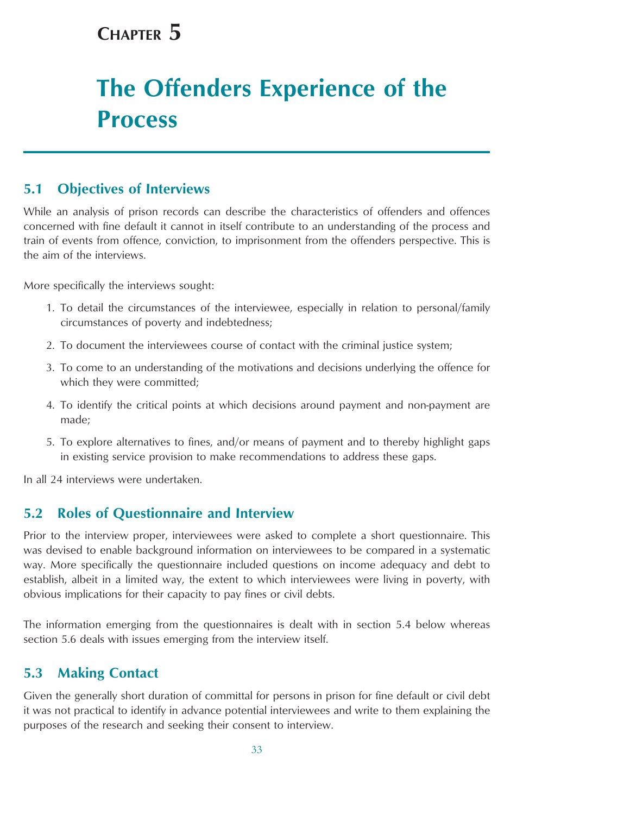## <span id="page-32-0"></span>**CHAPTER 5**

# **The Offenders Experience of the Process**

## **5.1 Objectives of Interviews**

While an analysis of prison records can describe the characteristics of offenders and offences concerned with fine default it cannot in itself contribute to an understanding of the process and train of events from offence, conviction, to imprisonment from the offenders perspective. This is the aim of the interviews.

More specifically the interviews sought:

- 1. To detail the circumstances of the interviewee, especially in relation to personal/family circumstances of poverty and indebtedness;
- 2. To document the interviewees course of contact with the criminal justice system;
- 3. To come to an understanding of the motivations and decisions underlying the offence for which they were committed;
- 4. To identify the critical points at which decisions around payment and non-payment are made;
- 5. To explore alternatives to fines, and/or means of payment and to thereby highlight gaps in existing service provision to make recommendations to address these gaps.

In all 24 interviews were undertaken.

## **5.2 Roles of Questionnaire and Interview**

Prior to the interview proper, interviewees were asked to complete a short questionnaire. This was devised to enable background information on interviewees to be compared in a systematic way. More specifically the questionnaire included questions on income adequacy and debt to establish, albeit in a limited way, the extent to which interviewees were living in poverty, with obvious implications for their capacity to pay fines or civil debts.

The information emerging from the questionnaires is dealt with in section 5.4 below whereas section 5.6 deals with issues emerging from the interview itself.

## **5.3 Making Contact**

Given the generally short duration of committal for persons in prison for fine default or civil debt it was not practical to identify in advance potential interviewees and write to them explaining the purposes of the research and seeking their consent to interview.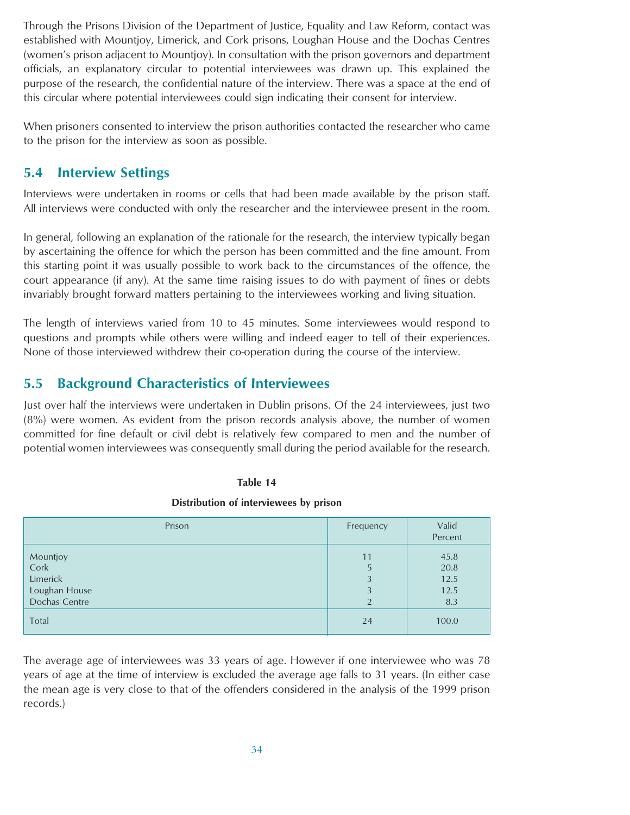<span id="page-33-0"></span>Through the Prisons Division of the Department of Justice, Equality and Law Reform, contact was established with Mountjoy, Limerick, and Cork prisons, Loughan House and the Dochas Centres (women's prison adjacent to Mountjoy). In consultation with the prison governors and department officials, an explanatory circular to potential interviewees was drawn up. This explained the purpose of the research, the confidential nature of the interview. There was a space at the end of this circular where potential interviewees could sign indicating their consent for interview.

When prisoners consented to interview the prison authorities contacted the researcher who came to the prison for the interview as soon as possible.

### **5.4 Interview Settings**

Interviews were undertaken in rooms or cells that had been made available by the prison staff. All interviews were conducted with only the researcher and the interviewee present in the room.

In general, following an explanation of the rationale for the research, the interview typically began by ascertaining the offence for which the person has been committed and the fine amount. From this starting point it was usually possible to work back to the circumstances of the offence, the court appearance (if any). At the same time raising issues to do with payment of fines or debts invariably brought forward matters pertaining to the interviewees working and living situation.

The length of interviews varied from 10 to 45 minutes. Some interviewees would respond to questions and prompts while others were willing and indeed eager to tell of their experiences. None of those interviewed withdrew their co-operation during the course of the interview.

## **5.5 Background Characteristics of Interviewees**

Just over half the interviews were undertaken in Dublin prisons. Of the 24 interviewees, just two (8%) were women. As evident from the prison records analysis above, the number of women committed for fine default or civil debt is relatively few compared to men and the number of potential women interviewees was consequently small during the period available for the research.

#### **Table 14**

#### **Distribution of interviewees by prison**

| Prison                                                         | Frequency                          | Valid<br>Percent                    |
|----------------------------------------------------------------|------------------------------------|-------------------------------------|
| Mountjoy<br>Cork<br>Limerick<br>Loughan House<br>Dochas Centre | 11<br>5<br>3<br>3<br>$\mathcal{D}$ | 45.8<br>20.8<br>12.5<br>12.5<br>8.3 |
| Total                                                          | 24                                 | 100.0                               |

The average age of interviewees was 33 years of age. However if one interviewee who was 78 years of age at the time of interview is excluded the average age falls to 31 years. (In either case the mean age is very close to that of the offenders considered in the analysis of the 1999 prison records.)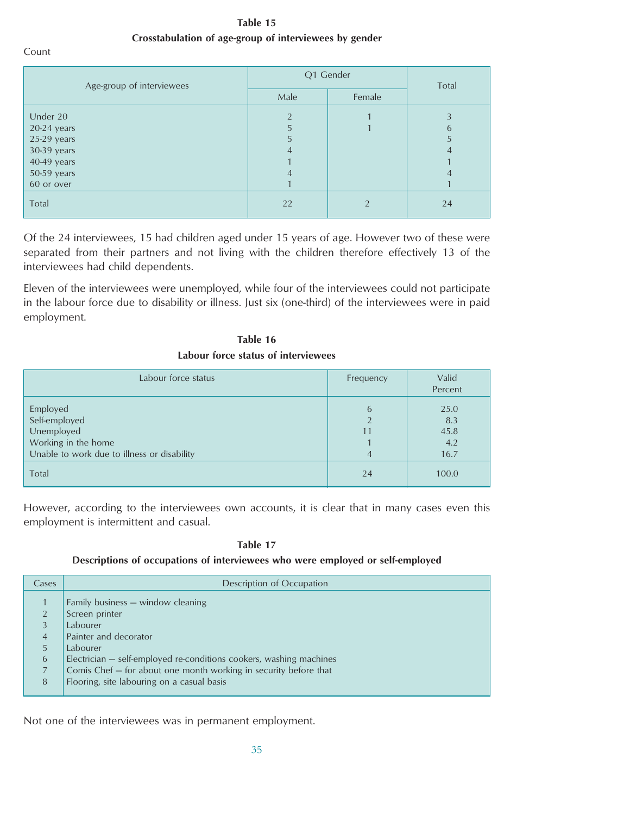**Table 15 Crosstabulation of age-group of interviewees by gender**

Count

| Age-group of interviewees | Q1 Gender     | Total         |    |
|---------------------------|---------------|---------------|----|
|                           | Male          | Female        |    |
| Under 20                  | $\mathcal{P}$ |               | 3  |
| $20-24$ years             | 5             |               | 6  |
| $25-29$ years             | 5             |               | 5  |
| 30-39 years               | 4             |               | 4  |
| 40-49 years               |               |               |    |
| 50-59 years               | 4             |               | 4  |
| 60 or over                |               |               |    |
| Total                     | 22            | $\mathcal{D}$ | 24 |

Of the 24 interviewees, 15 had children aged under 15 years of age. However two of these were separated from their partners and not living with the children therefore effectively 13 of the interviewees had child dependents.

Eleven of the interviewees were unemployed, while four of the interviewees could not participate in the labour force due to disability or illness. Just six (one-third) of the interviewees were in paid employment.

**Table 16 Labour force status of interviewees**

| Labour force status                                                                                           | Frequency | Valid<br>Percent                   |
|---------------------------------------------------------------------------------------------------------------|-----------|------------------------------------|
| Employed<br>Self-employed<br>Unemployed<br>Working in the home<br>Unable to work due to illness or disability | 6<br>4    | 25.0<br>8.3<br>45.8<br>4.2<br>16.7 |
| Total                                                                                                         | 24        | 100.0                              |

However, according to the interviewees own accounts, it is clear that in many cases even this employment is intermittent and casual.

**Table 17**

#### **Descriptions of occupations of interviewees who were employed or self-employed**

| Cases                                                     | Description of Occupation                                                                                                                                                                                                                                                                     |
|-----------------------------------------------------------|-----------------------------------------------------------------------------------------------------------------------------------------------------------------------------------------------------------------------------------------------------------------------------------------------|
| 2<br>3<br>$\overline{4}$<br>5<br>6<br>$\overline{7}$<br>8 | Family business - window cleaning<br>Screen printer<br>Labourer<br>Painter and decorator<br>Labourer<br>Electrician – self-employed re-conditions cookers, washing machines<br>Comis Chef – for about one month working in security before that<br>Flooring, site labouring on a casual basis |

Not one of the interviewees was in permanent employment.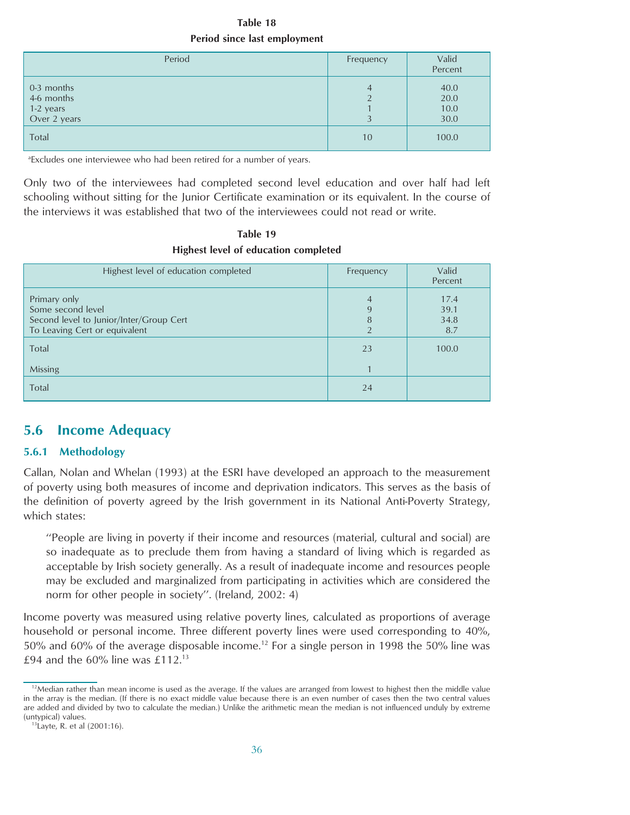**Table 18 Period since last employment**

<span id="page-35-0"></span>

| Period                                                | Frequency               | Valid<br>Percent             |
|-------------------------------------------------------|-------------------------|------------------------------|
| 0-3 months<br>4-6 months<br>1-2 years<br>Over 2 years | 4<br>$\mathcal{D}$<br>3 | 40.0<br>20.0<br>10.0<br>30.0 |
| Total                                                 | 10                      | 100.0                        |

<sup>a</sup>Excludes one interviewee who had been retired for a number of years.

Only two of the interviewees had completed second level education and over half had left schooling without sitting for the Junior Certificate examination or its equivalent. In the course of the interviews it was established that two of the interviewees could not read or write.

**Table 19 Highest level of education completed**

| Highest level of education completed                                                                          | Frequency                                  | Valid<br>Percent            |
|---------------------------------------------------------------------------------------------------------------|--------------------------------------------|-----------------------------|
| Primary only<br>Some second level<br>Second level to Junior/Inter/Group Cert<br>To Leaving Cert or equivalent | $\overline{A}$<br>9<br>8<br>$\mathfrak{D}$ | 17.4<br>39.1<br>34.8<br>8.7 |
| Total                                                                                                         | 23                                         | 100.0                       |
| Missing                                                                                                       |                                            |                             |
| Total                                                                                                         | 24                                         |                             |

## **5.6 Income Adequacy**

#### **5.6.1 Methodology**

Callan, Nolan and Whelan (1993) at the ESRI have developed an approach to the measurement of poverty using both measures of income and deprivation indicators. This serves as the basis of the definition of poverty agreed by the Irish government in its National Anti-Poverty Strategy, which states:

''People are living in poverty if their income and resources (material, cultural and social) are so inadequate as to preclude them from having a standard of living which is regarded as acceptable by Irish society generally. As a result of inadequate income and resources people may be excluded and marginalized from participating in activities which are considered the norm for other people in society''. (Ireland, 2002: 4)

Income poverty was measured using relative poverty lines, calculated as proportions of average household or personal income. Three different poverty lines were used corresponding to 40%, 50% and 60% of the average disposable income.<sup>12</sup> For a single person in 1998 the 50% line was £94 and the 60% line was £112. $^{13}$ 

 $12$ Median rather than mean income is used as the average. If the values are arranged from lowest to highest then the middle value in the array is the median. (If there is no exact middle value because there is an even number of cases then the two central values are added and divided by two to calculate the median.) Unlike the arithmetic mean the median is not influenced unduly by extreme (untypical) values.

<sup>13</sup>Layte, R. et al (2001:16).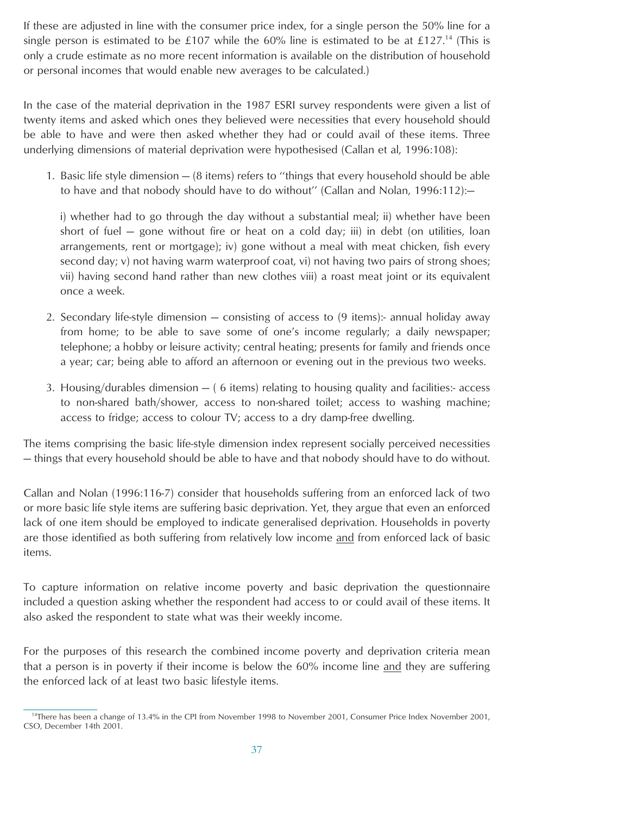If these are adjusted in line with the consumer price index, for a single person the 50% line for a single person is estimated to be £107 while the 60% line is estimated to be at £127.<sup>14</sup> (This is only a crude estimate as no more recent information is available on the distribution of household or personal incomes that would enable new averages to be calculated.)

In the case of the material deprivation in the 1987 ESRI survey respondents were given a list of twenty items and asked which ones they believed were necessities that every household should be able to have and were then asked whether they had or could avail of these items. Three underlying dimensions of material deprivation were hypothesised (Callan et al, 1996:108):

1. Basic life style dimension — (8 items) refers to ''things that every household should be able to have and that nobody should have to do without'' (Callan and Nolan, 1996:112):—

i) whether had to go through the day without a substantial meal; ii) whether have been short of fuel — gone without fire or heat on a cold day; iii) in debt (on utilities, loan arrangements, rent or mortgage); iv) gone without a meal with meat chicken, fish every second day; v) not having warm waterproof coat, vi) not having two pairs of strong shoes; vii) having second hand rather than new clothes viii) a roast meat joint or its equivalent once a week.

- 2. Secondary life-style dimension consisting of access to (9 items):- annual holiday away from home; to be able to save some of one's income regularly; a daily newspaper; telephone; a hobby or leisure activity; central heating; presents for family and friends once a year; car; being able to afford an afternoon or evening out in the previous two weeks.
- 3. Housing/durables dimension ( 6 items) relating to housing quality and facilities:- access to non-shared bath/shower, access to non-shared toilet; access to washing machine; access to fridge; access to colour TV; access to a dry damp-free dwelling.

The items comprising the basic life-style dimension index represent socially perceived necessities — things that every household should be able to have and that nobody should have to do without.

Callan and Nolan (1996:116-7) consider that households suffering from an enforced lack of two or more basic life style items are suffering basic deprivation. Yet, they argue that even an enforced lack of one item should be employed to indicate generalised deprivation. Households in poverty are those identified as both suffering from relatively low income and from enforced lack of basic items.

To capture information on relative income poverty and basic deprivation the questionnaire included a question asking whether the respondent had access to or could avail of these items. It also asked the respondent to state what was their weekly income.

For the purposes of this research the combined income poverty and deprivation criteria mean that a person is in poverty if their income is below the 60% income line and they are suffering the enforced lack of at least two basic lifestyle items.

<sup>&</sup>lt;sup>14</sup>There has been a change of 13.4% in the CPI from November 1998 to November 2001, Consumer Price Index November 2001, CSO, December 14th 2001.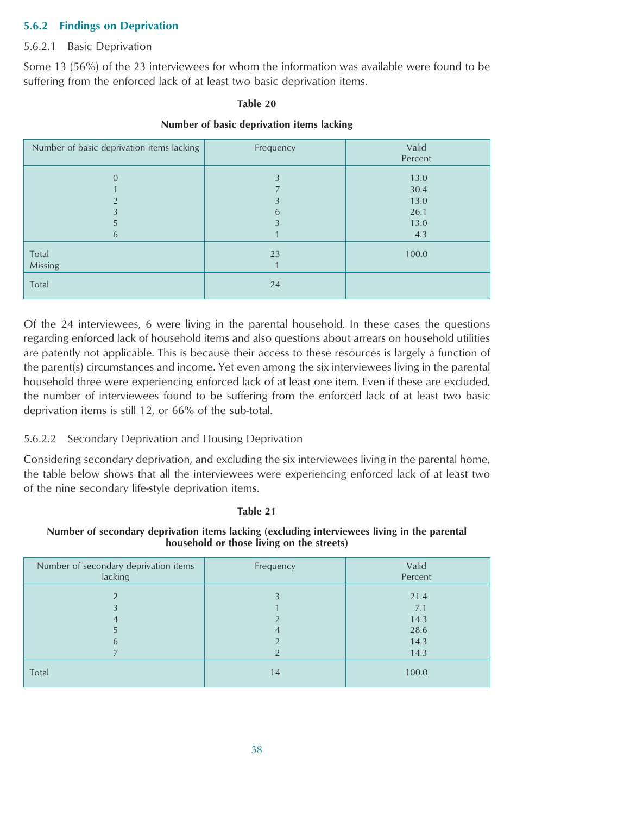#### **5.6.2 Findings on Deprivation**

#### 5.6.2.1 Basic Deprivation

Some 13 (56%) of the 23 interviewees for whom the information was available were found to be suffering from the enforced lack of at least two basic deprivation items.

#### **Table 20**

| Number of basic deprivation items lacking | Frequency   | Valid<br>Percent                            |  |
|-------------------------------------------|-------------|---------------------------------------------|--|
| $\Omega$<br>5<br>6                        | 3<br>3<br>6 | 13.0<br>30.4<br>13.0<br>26.1<br>13.0<br>4.3 |  |
| Total<br>Missing<br>Total                 | 23<br>24    | 100.0                                       |  |

Of the 24 interviewees, 6 were living in the parental household. In these cases the questions regarding enforced lack of household items and also questions about arrears on household utilities are patently not applicable. This is because their access to these resources is largely a function of the parent(s) circumstances and income. Yet even among the six interviewees living in the parental household three were experiencing enforced lack of at least one item. Even if these are excluded, the number of interviewees found to be suffering from the enforced lack of at least two basic deprivation items is still 12, or 66% of the sub-total.

#### 5.6.2.2 Secondary Deprivation and Housing Deprivation

Considering secondary deprivation, and excluding the six interviewees living in the parental home, the table below shows that all the interviewees were experiencing enforced lack of at least two of the nine secondary life-style deprivation items.

#### **Table 21**

**Number of secondary deprivation items lacking (excluding interviewees living in the parental household or those living on the streets)**

| Number of secondary deprivation items<br>lacking | Frequency | Valid<br>Percent     |
|--------------------------------------------------|-----------|----------------------|
| $\Omega$                                         |           | 21.4<br>7.1<br>14.3  |
| 6                                                |           | 28.6<br>14.3<br>14.3 |
| Total                                            | 14        | 100.0                |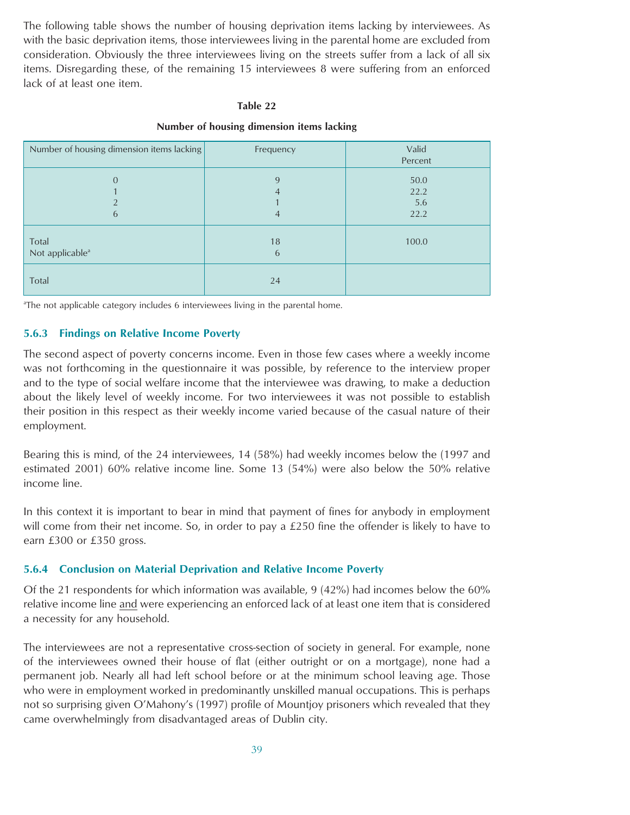The following table shows the number of housing deprivation items lacking by interviewees. As with the basic deprivation items, those interviewees living in the parental home are excluded from consideration. Obviously the three interviewees living on the streets suffer from a lack of all six items. Disregarding these, of the remaining 15 interviewees 8 were suffering from an enforced lack of at least one item.

#### **Table 22**

| Number of housing dimension items lacking | Frequency   | Valid<br>Percent            |
|-------------------------------------------|-------------|-----------------------------|
| $\Omega$<br>ำ<br>6                        | 9<br>4<br>4 | 50.0<br>22.2<br>5.6<br>22.2 |
| Total<br>Not applicable <sup>a</sup>      | 18<br>6     | 100.0                       |
| Total                                     | 24          |                             |

#### **Number of housing dimension items lacking**

<sup>a</sup>The not applicable category includes 6 interviewees living in the parental home.

#### **5.6.3 Findings on Relative Income Poverty**

The second aspect of poverty concerns income. Even in those few cases where a weekly income was not forthcoming in the questionnaire it was possible, by reference to the interview proper and to the type of social welfare income that the interviewee was drawing, to make a deduction about the likely level of weekly income. For two interviewees it was not possible to establish their position in this respect as their weekly income varied because of the casual nature of their employment.

Bearing this is mind, of the 24 interviewees, 14 (58%) had weekly incomes below the (1997 and estimated 2001) 60% relative income line. Some 13 (54%) were also below the 50% relative income line.

In this context it is important to bear in mind that payment of fines for anybody in employment will come from their net income. So, in order to pay a £250 fine the offender is likely to have to earn £300 or £350 gross.

#### **5.6.4 Conclusion on Material Deprivation and Relative Income Poverty**

Of the 21 respondents for which information was available, 9 (42%) had incomes below the 60% relative income line and were experiencing an enforced lack of at least one item that is considered a necessity for any household.

The interviewees are not a representative cross-section of society in general. For example, none of the interviewees owned their house of flat (either outright or on a mortgage), none had a permanent job. Nearly all had left school before or at the minimum school leaving age. Those who were in employment worked in predominantly unskilled manual occupations. This is perhaps not so surprising given O'Mahony's (1997) profile of Mountjoy prisoners which revealed that they came overwhelmingly from disadvantaged areas of Dublin city.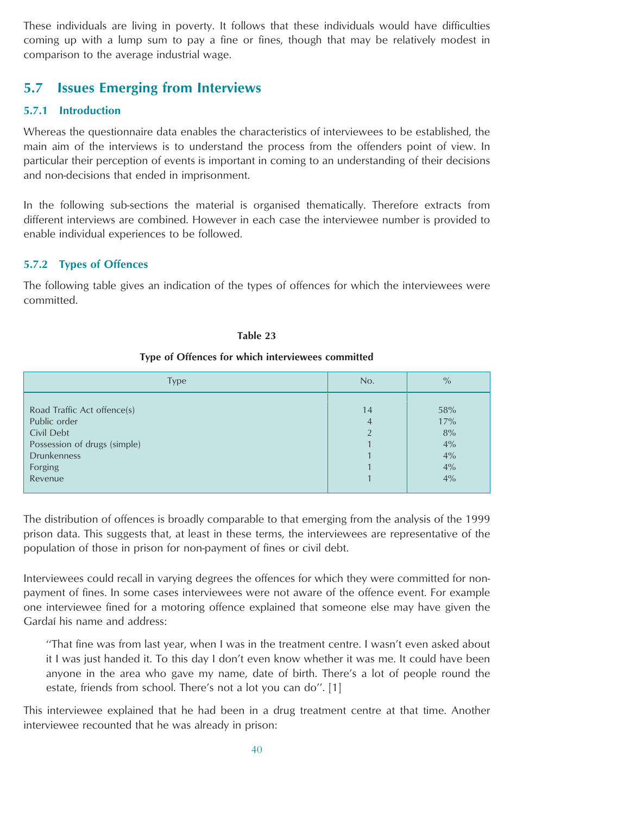<span id="page-39-0"></span>These individuals are living in poverty. It follows that these individuals would have difficulties coming up with a lump sum to pay a fine or fines, though that may be relatively modest in comparison to the average industrial wage.

## **5.7 Issues Emerging from Interviews**

#### **5.7.1 Introduction**

Whereas the questionnaire data enables the characteristics of interviewees to be established, the main aim of the interviews is to understand the process from the offenders point of view. In particular their perception of events is important in coming to an understanding of their decisions and non-decisions that ended in imprisonment.

In the following sub-sections the material is organised thematically. Therefore extracts from different interviews are combined. However in each case the interviewee number is provided to enable individual experiences to be followed.

#### **5.7.2 Types of Offences**

The following table gives an indication of the types of offences for which the interviewees were committed.

#### **Table 23**

#### **Type of Offences for which interviewees committed**

| <b>Type</b>                                                                                                                           | No.                       | $\%$                                     |
|---------------------------------------------------------------------------------------------------------------------------------------|---------------------------|------------------------------------------|
| Road Traffic Act offence(s)<br>Public order<br>Civil Debt<br>Possession of drugs (simple)<br><b>Drunkenness</b><br>Forging<br>Revenue | 14<br>4<br>$\overline{2}$ | 58%<br>17%<br>8%<br>4%<br>4%<br>4%<br>4% |
|                                                                                                                                       |                           |                                          |

The distribution of offences is broadly comparable to that emerging from the analysis of the 1999 prison data. This suggests that, at least in these terms, the interviewees are representative of the population of those in prison for non-payment of fines or civil debt.

Interviewees could recall in varying degrees the offences for which they were committed for nonpayment of fines. In some cases interviewees were not aware of the offence event. For example one interviewee fined for a motoring offence explained that someone else may have given the Gardaí his name and address:

"That fine was from last year, when I was in the treatment centre. I wasn't even asked about it I was just handed it. To this day I don't even know whether it was me. It could have been anyone in the area who gave my name, date of birth. There's a lot of people round the estate, friends from school. There's not a lot you can do''. [1]

This interviewee explained that he had been in a drug treatment centre at that time. Another interviewee recounted that he was already in prison: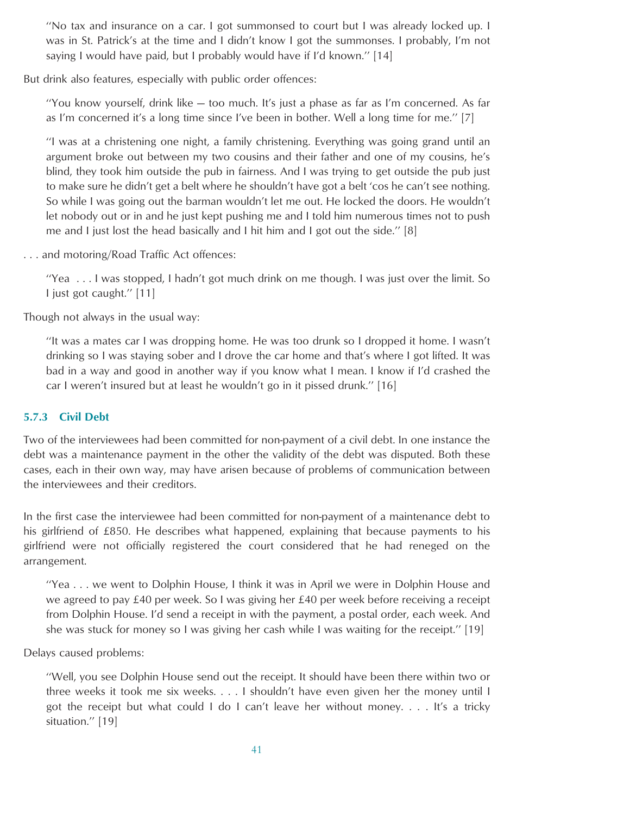''No tax and insurance on a car. I got summonsed to court but I was already locked up. I was in St. Patrick's at the time and I didn't know I got the summonses. I probably, I'm not saying I would have paid, but I probably would have if I'd known.'' [14]

But drink also features, especially with public order offences:

''You know yourself, drink like — too much. It's just a phase as far as I'm concerned. As far as I'm concerned it's a long time since I've been in bother. Well a long time for me.'' [7]

''I was at a christening one night, a family christening. Everything was going grand until an argument broke out between my two cousins and their father and one of my cousins, he's blind, they took him outside the pub in fairness. And I was trying to get outside the pub just to make sure he didn't get a belt where he shouldn't have got a belt 'cos he can't see nothing. So while I was going out the barman wouldn't let me out. He locked the doors. He wouldn't let nobody out or in and he just kept pushing me and I told him numerous times not to push me and I just lost the head basically and I hit him and I got out the side.'' [8]

. . . and motoring/Road Traffic Act offences:

''Yea . . . I was stopped, I hadn't got much drink on me though. I was just over the limit. So I just got caught.'' [11]

Though not always in the usual way:

''It was a mates car I was dropping home. He was too drunk so I dropped it home. I wasn't drinking so I was staying sober and I drove the car home and that's where I got lifted. It was bad in a way and good in another way if you know what I mean. I know if I'd crashed the car I weren't insured but at least he wouldn't go in it pissed drunk.'' [16]

#### **5.7.3 Civil Debt**

Two of the interviewees had been committed for non-payment of a civil debt. In one instance the debt was a maintenance payment in the other the validity of the debt was disputed. Both these cases, each in their own way, may have arisen because of problems of communication between the interviewees and their creditors.

In the first case the interviewee had been committed for non-payment of a maintenance debt to his girlfriend of £850. He describes what happened, explaining that because payments to his girlfriend were not officially registered the court considered that he had reneged on the arrangement.

''Yea . . . we went to Dolphin House, I think it was in April we were in Dolphin House and we agreed to pay £40 per week. So I was giving her £40 per week before receiving a receipt from Dolphin House. I'd send a receipt in with the payment, a postal order, each week. And she was stuck for money so I was giving her cash while I was waiting for the receipt.'' [19]

Delays caused problems:

''Well, you see Dolphin House send out the receipt. It should have been there within two or three weeks it took me six weeks. . . . I shouldn't have even given her the money until I got the receipt but what could I do I can't leave her without money. . . . It's a tricky situation.'' [19]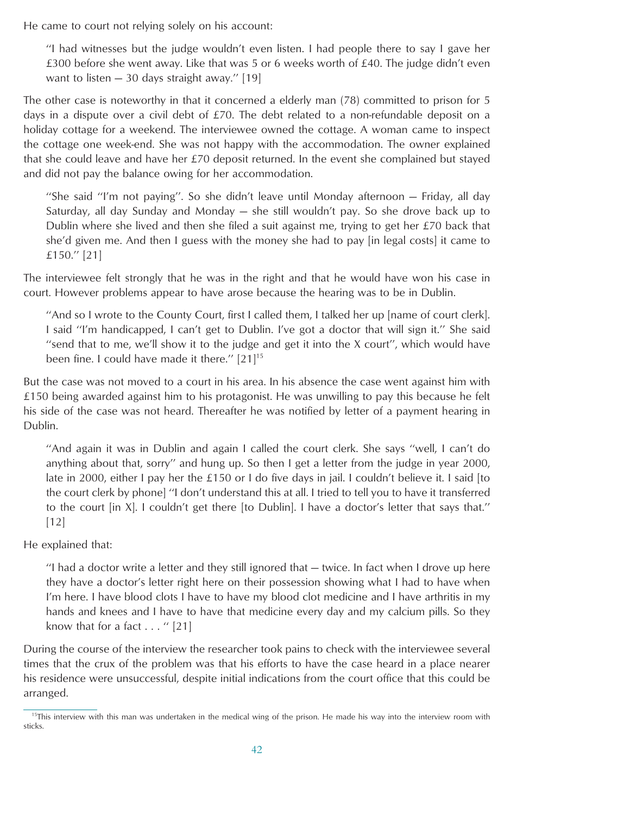He came to court not relying solely on his account:

''I had witnesses but the judge wouldn't even listen. I had people there to say I gave her £300 before she went away. Like that was 5 or 6 weeks worth of £40. The judge didn't even want to listen — 30 days straight away.'' [19]

The other case is noteworthy in that it concerned a elderly man (78) committed to prison for 5 days in a dispute over a civil debt of £70. The debt related to a non-refundable deposit on a holiday cottage for a weekend. The interviewee owned the cottage. A woman came to inspect the cottage one week-end. She was not happy with the accommodation. The owner explained that she could leave and have her £70 deposit returned. In the event she complained but stayed and did not pay the balance owing for her accommodation.

''She said ''I'm not paying''. So she didn't leave until Monday afternoon — Friday, all day Saturday, all day Sunday and Monday — she still wouldn't pay. So she drove back up to Dublin where she lived and then she filed a suit against me, trying to get her  $E(70)$  back that she'd given me. And then I guess with the money she had to pay [in legal costs] it came to £150.'' [21]

The interviewee felt strongly that he was in the right and that he would have won his case in court. However problems appear to have arose because the hearing was to be in Dublin.

''And so I wrote to the County Court, first I called them, I talked her up [name of court clerk]. I said ''I'm handicapped, I can't get to Dublin. I've got a doctor that will sign it.'' She said ''send that to me, we'll show it to the judge and get it into the X court'', which would have been fine. I could have made it there."  $[21]^{15}$ 

But the case was not moved to a court in his area. In his absence the case went against him with £150 being awarded against him to his protagonist. He was unwilling to pay this because he felt his side of the case was not heard. Thereafter he was notified by letter of a payment hearing in Dublin.

''And again it was in Dublin and again I called the court clerk. She says ''well, I can't do anything about that, sorry'' and hung up. So then I get a letter from the judge in year 2000, late in 2000, either I pay her the £150 or I do five days in jail. I couldn't believe it. I said [to the court clerk by phone] ''I don't understand this at all. I tried to tell you to have it transferred to the court [in X]. I couldn't get there [to Dublin]. I have a doctor's letter that says that.'' [12]

He explained that:

''I had a doctor write a letter and they still ignored that — twice. In fact when I drove up here they have a doctor's letter right here on their possession showing what I had to have when I'm here. I have blood clots I have to have my blood clot medicine and I have arthritis in my hands and knees and I have to have that medicine every day and my calcium pills. So they know that for a fact  $\dots$  " [21]

During the course of the interview the researcher took pains to check with the interviewee several times that the crux of the problem was that his efforts to have the case heard in a place nearer his residence were unsuccessful, despite initial indications from the court office that this could be arranged.

<sup>&</sup>lt;sup>15</sup>This interview with this man was undertaken in the medical wing of the prison. He made his way into the interview room with sticks.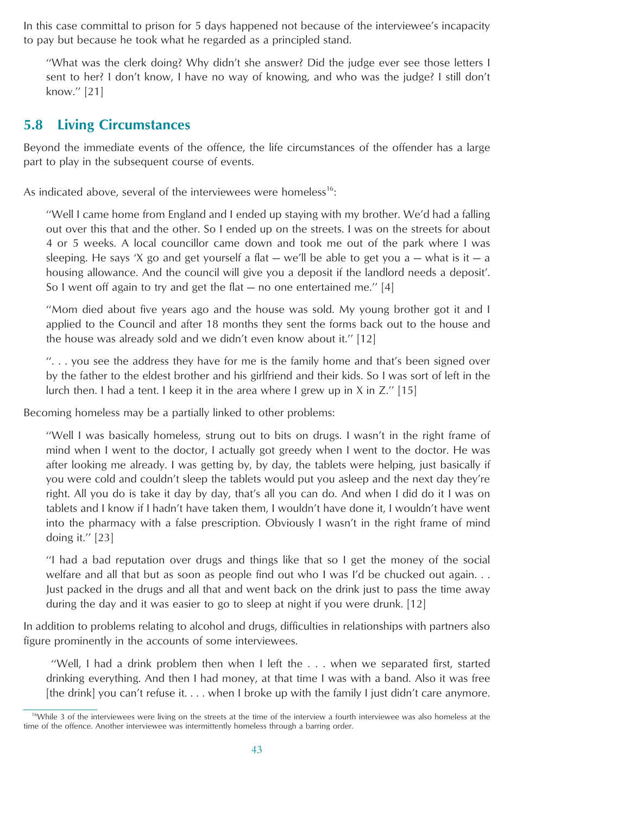<span id="page-42-0"></span>In this case committal to prison for 5 days happened not because of the interviewee's incapacity to pay but because he took what he regarded as a principled stand.

''What was the clerk doing? Why didn't she answer? Did the judge ever see those letters I sent to her? I don't know, I have no way of knowing, and who was the judge? I still don't know.'' [21]

### **5.8 Living Circumstances**

Beyond the immediate events of the offence, the life circumstances of the offender has a large part to play in the subsequent course of events.

As indicated above, several of the interviewees were homeless<sup>16</sup>:

''Well I came home from England and I ended up staying with my brother. We'd had a falling out over this that and the other. So I ended up on the streets. I was on the streets for about 4 or 5 weeks. A local councillor came down and took me out of the park where I was sleeping. He says 'X go and get yourself a flat  $-$  we'll be able to get you a  $-$  what is it  $-$  a housing allowance. And the council will give you a deposit if the landlord needs a deposit'. So I went off again to try and get the flat — no one entertained me.'' [4]

''Mom died about five years ago and the house was sold. My young brother got it and I applied to the Council and after 18 months they sent the forms back out to the house and the house was already sold and we didn't even know about it.'' [12]

 $\ldots$ , you see the address they have for me is the family home and that's been signed over by the father to the eldest brother and his girlfriend and their kids. So I was sort of left in the lurch then. I had a tent. I keep it in the area where I grew up in X in Z.'' [15]

Becoming homeless may be a partially linked to other problems:

''Well I was basically homeless, strung out to bits on drugs. I wasn't in the right frame of mind when I went to the doctor, I actually got greedy when I went to the doctor. He was after looking me already. I was getting by, by day, the tablets were helping, just basically if you were cold and couldn't sleep the tablets would put you asleep and the next day they're right. All you do is take it day by day, that's all you can do. And when I did do it I was on tablets and I know if I hadn't have taken them, I wouldn't have done it, I wouldn't have went into the pharmacy with a false prescription. Obviously I wasn't in the right frame of mind doing it.'' [23]

''I had a bad reputation over drugs and things like that so I get the money of the social welfare and all that but as soon as people find out who I was I'd be chucked out again. . . Just packed in the drugs and all that and went back on the drink just to pass the time away during the day and it was easier to go to sleep at night if you were drunk. [12]

In addition to problems relating to alcohol and drugs, difficulties in relationships with partners also figure prominently in the accounts of some interviewees.

''Well, I had a drink problem then when I left the... when we separated first, started drinking everything. And then I had money, at that time I was with a band. Also it was free [the drink] you can't refuse it. . . . when I broke up with the family I just didn't care anymore.

 $16$ While 3 of the interviewees were living on the streets at the time of the interview a fourth interviewee was also homeless at the time of the offence. Another interviewee was intermittently homeless through a barring order.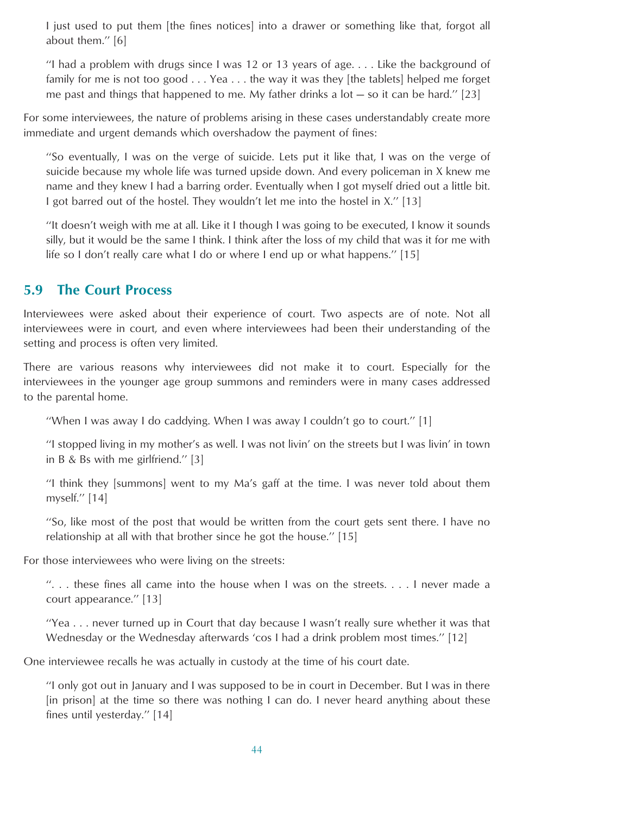<span id="page-43-0"></span>I just used to put them [the fines notices] into a drawer or something like that, forgot all about them.'' [6]

"I had a problem with drugs since I was 12 or 13 years of age.... Like the background of family for me is not too good . . . Yea . . . the way it was they [the tablets] helped me forget me past and things that happened to me. My father drinks a lot  $-$  so it can be hard." [23]

For some interviewees, the nature of problems arising in these cases understandably create more immediate and urgent demands which overshadow the payment of fines:

''So eventually, I was on the verge of suicide. Lets put it like that, I was on the verge of suicide because my whole life was turned upside down. And every policeman in X knew me name and they knew I had a barring order. Eventually when I got myself dried out a little bit. I got barred out of the hostel. They wouldn't let me into the hostel in X.'' [13]

''It doesn't weigh with me at all. Like it I though I was going to be executed, I know it sounds silly, but it would be the same I think. I think after the loss of my child that was it for me with life so I don't really care what I do or where I end up or what happens.'' [15]

### **5.9 The Court Process**

Interviewees were asked about their experience of court. Two aspects are of note. Not all interviewees were in court, and even where interviewees had been their understanding of the setting and process is often very limited.

There are various reasons why interviewees did not make it to court. Especially for the interviewees in the younger age group summons and reminders were in many cases addressed to the parental home.

"When I was away I do caddying. When I was away I couldn't go to court." [1]

''I stopped living in my mother's as well. I was not livin' on the streets but I was livin' in town in B & Bs with me girlfriend.'' [3]

''I think they [summons] went to my Ma's gaff at the time. I was never told about them myself.'' [14]

''So, like most of the post that would be written from the court gets sent there. I have no relationship at all with that brother since he got the house.'' [15]

For those interviewees who were living on the streets:

''. . . these fines all came into the house when I was on the streets. . . . I never made a court appearance.'' [13]

''Yea . . . never turned up in Court that day because I wasn't really sure whether it was that Wednesday or the Wednesday afterwards 'cos I had a drink problem most times.'' [12]

One interviewee recalls he was actually in custody at the time of his court date.

''I only got out in January and I was supposed to be in court in December. But I was in there [in prison] at the time so there was nothing I can do. I never heard anything about these fines until yesterday.'' [14]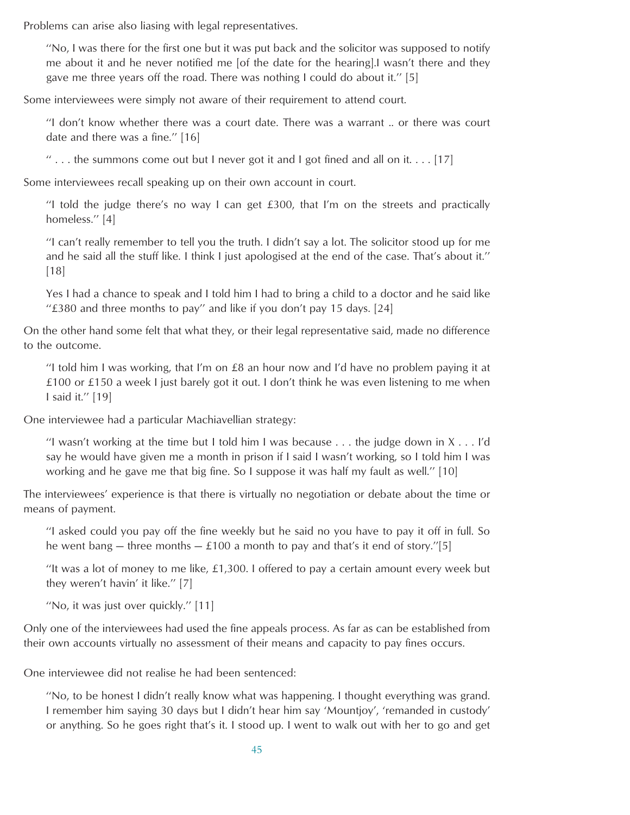Problems can arise also liasing with legal representatives.

''No, I was there for the first one but it was put back and the solicitor was supposed to notify me about it and he never notified me [of the date for the hearing].I wasn't there and they gave me three years off the road. There was nothing I could do about it.'' [5]

Some interviewees were simply not aware of their requirement to attend court.

''I don't know whether there was a court date. There was a warrant .. or there was court date and there was a fine.'' [16]

 $\cdots$  ... the summons come out but I never got it and I got fined and all on it.... [17]

Some interviewees recall speaking up on their own account in court.

''I told the judge there's no way I can get £300, that I'm on the streets and practically homeless.'' [4]

''I can't really remember to tell you the truth. I didn't say a lot. The solicitor stood up for me and he said all the stuff like. I think I just apologised at the end of the case. That's about it.'' [18]

Yes I had a chance to speak and I told him I had to bring a child to a doctor and he said like " $£380$  and three months to pay" and like if you don't pay 15 days. [24]

On the other hand some felt that what they, or their legal representative said, made no difference to the outcome.

"I told him I was working, that I'm on  $£8$  an hour now and I'd have no problem paying it at £100 or £150 a week I just barely got it out. I don't think he was even listening to me when I said it.'' [19]

One interviewee had a particular Machiavellian strategy:

"I wasn't working at the time but I told him I was because  $\dots$  the judge down in X  $\dots$  I'd say he would have given me a month in prison if I said I wasn't working, so I told him I was working and he gave me that big fine. So I suppose it was half my fault as well.'' [10]

The interviewees' experience is that there is virtually no negotiation or debate about the time or means of payment.

''I asked could you pay off the fine weekly but he said no you have to pay it off in full. So he went bang – three months –  $\pounds$ 100 a month to pay and that's it end of story."[5]

"It was a lot of money to me like,  $£1,300$ . I offered to pay a certain amount every week but they weren't havin' it like.'' [7]

''No, it was just over quickly.'' [11]

Only one of the interviewees had used the fine appeals process. As far as can be established from their own accounts virtually no assessment of their means and capacity to pay fines occurs.

One interviewee did not realise he had been sentenced:

''No, to be honest I didn't really know what was happening. I thought everything was grand. I remember him saying 30 days but I didn't hear him say 'Mountjoy', 'remanded in custody' or anything. So he goes right that's it. I stood up. I went to walk out with her to go and get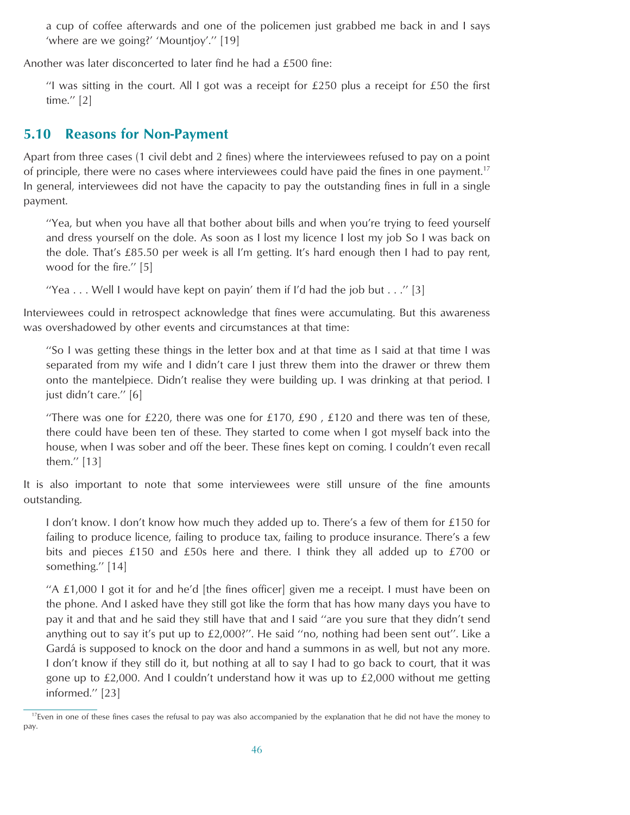<span id="page-45-0"></span>a cup of coffee afterwards and one of the policemen just grabbed me back in and I says 'where are we going?' 'Mountjoy'.'' [19]

Another was later disconcerted to later find he had a £500 fine:

"I was sitting in the court. All I got was a receipt for £250 plus a receipt for £50 the first time.'' [2]

## **5.10 Reasons for Non-Payment**

Apart from three cases (1 civil debt and 2 fines) where the interviewees refused to pay on a point of principle, there were no cases where interviewees could have paid the fines in one payment.<sup>17</sup> In general, interviewees did not have the capacity to pay the outstanding fines in full in a single payment.

''Yea, but when you have all that bother about bills and when you're trying to feed yourself and dress yourself on the dole. As soon as I lost my licence I lost my job So I was back on the dole. That's £85.50 per week is all I'm getting. It's hard enough then I had to pay rent, wood for the fire.'' [5]

"Yea... Well I would have kept on payin' them if I'd had the job but ..." [3]

Interviewees could in retrospect acknowledge that fines were accumulating. But this awareness was overshadowed by other events and circumstances at that time:

''So I was getting these things in the letter box and at that time as I said at that time I was separated from my wife and I didn't care I just threw them into the drawer or threw them onto the mantelpiece. Didn't realise they were building up. I was drinking at that period. I just didn't care.'' [6]

"There was one for £220, there was one for £170, £90, £120 and there was ten of these, there could have been ten of these. They started to come when I got myself back into the house, when I was sober and off the beer. These fines kept on coming. I couldn't even recall them.'' [13]

It is also important to note that some interviewees were still unsure of the fine amounts outstanding.

I don't know. I don't know how much they added up to. There's a few of them for £150 for failing to produce licence, failing to produce tax, failing to produce insurance. There's a few bits and pieces £150 and £50s here and there. I think they all added up to £700 or something.'' [14]

"A  $\pm 1,000$  I got it for and he'd [the fines officer] given me a receipt. I must have been on the phone. And I asked have they still got like the form that has how many days you have to pay it and that and he said they still have that and I said ''are you sure that they didn't send anything out to say it's put up to £2,000?''. He said ''no, nothing had been sent out''. Like a Gardá is supposed to knock on the door and hand a summons in as well, but not any more. I don't know if they still do it, but nothing at all to say I had to go back to court, that it was gone up to  $£2,000$ . And I couldn't understand how it was up to  $£2,000$  without me getting informed.'' [23]

 $17$ Even in one of these fines cases the refusal to pay was also accompanied by the explanation that he did not have the money to pay.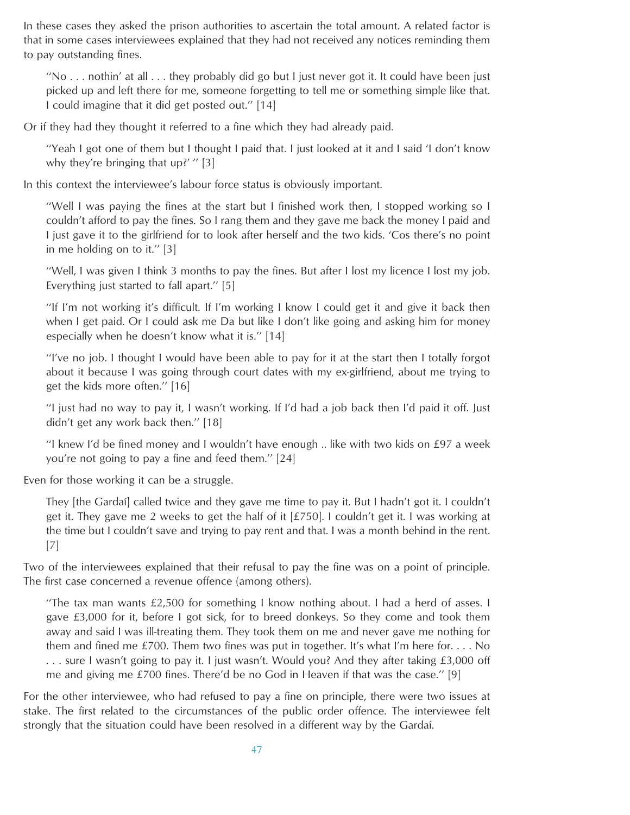In these cases they asked the prison authorities to ascertain the total amount. A related factor is that in some cases interviewees explained that they had not received any notices reminding them to pay outstanding fines.

"No  $\ldots$  nothin' at all  $\ldots$  they probably did go but I just never got it. It could have been just picked up and left there for me, someone forgetting to tell me or something simple like that. I could imagine that it did get posted out.'' [14]

Or if they had they thought it referred to a fine which they had already paid.

''Yeah I got one of them but I thought I paid that. I just looked at it and I said 'I don't know why they're bringing that up?' "[3]

In this context the interviewee's labour force status is obviously important.

''Well I was paying the fines at the start but I finished work then, I stopped working so I couldn't afford to pay the fines. So I rang them and they gave me back the money I paid and I just gave it to the girlfriend for to look after herself and the two kids. 'Cos there's no point in me holding on to it.'' [3]

''Well, I was given I think 3 months to pay the fines. But after I lost my licence I lost my job. Everything just started to fall apart.'' [5]

''If I'm not working it's difficult. If I'm working I know I could get it and give it back then when I get paid. Or I could ask me Da but like I don't like going and asking him for money especially when he doesn't know what it is.'' [14]

''I've no job. I thought I would have been able to pay for it at the start then I totally forgot about it because I was going through court dates with my ex-girlfriend, about me trying to get the kids more often.'' [16]

''I just had no way to pay it, I wasn't working. If I'd had a job back then I'd paid it off. Just didn't get any work back then.'' [18]

''I knew I'd be fined money and I wouldn't have enough .. like with two kids on £97 a week you're not going to pay a fine and feed them.'' [24]

Even for those working it can be a struggle.

They [the Gardaı´] called twice and they gave me time to pay it. But I hadn't got it. I couldn't get it. They gave me 2 weeks to get the half of it  $[£750]$ . I couldn't get it. I was working at the time but I couldn't save and trying to pay rent and that. I was a month behind in the rent. [7]

Two of the interviewees explained that their refusal to pay the fine was on a point of principle. The first case concerned a revenue offence (among others).

''The tax man wants £2,500 for something I know nothing about. I had a herd of asses. I gave £3,000 for it, before I got sick, for to breed donkeys. So they come and took them away and said I was ill-treating them. They took them on me and never gave me nothing for them and fined me £700. Them two fines was put in together. It's what I'm here for. . . . No . . . sure I wasn't going to pay it. I just wasn't. Would you? And they after taking £3,000 off me and giving me  $\text{\pounds}700$  fines. There'd be no God in Heaven if that was the case." [9]

For the other interviewee, who had refused to pay a fine on principle, there were two issues at stake. The first related to the circumstances of the public order offence. The interviewee felt strongly that the situation could have been resolved in a different way by the Gardaí.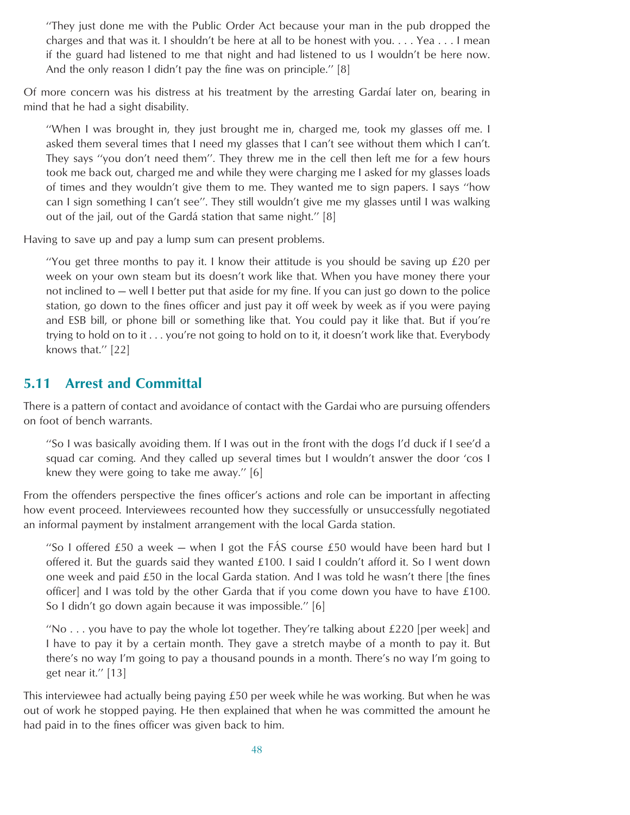<span id="page-47-0"></span>''They just done me with the Public Order Act because your man in the pub dropped the charges and that was it. I shouldn't be here at all to be honest with you. . . . Yea . . . I mean if the guard had listened to me that night and had listened to us I wouldn't be here now. And the only reason I didn't pay the fine was on principle.'' [8]

Of more concern was his distress at his treatment by the arresting Gardaı´ later on, bearing in mind that he had a sight disability.

''When I was brought in, they just brought me in, charged me, took my glasses off me. I asked them several times that I need my glasses that I can't see without them which I can't. They says ''you don't need them''. They threw me in the cell then left me for a few hours took me back out, charged me and while they were charging me I asked for my glasses loads of times and they wouldn't give them to me. They wanted me to sign papers. I says ''how can I sign something I can't see''. They still wouldn't give me my glasses until I was walking out of the jail, out of the Gardá station that same night." [8]

Having to save up and pay a lump sum can present problems.

"You get three months to pay it. I know their attitude is you should be saving up  $£20$  per week on your own steam but its doesn't work like that. When you have money there your not inclined to — well I better put that aside for my fine. If you can just go down to the police station, go down to the fines officer and just pay it off week by week as if you were paying and ESB bill, or phone bill or something like that. You could pay it like that. But if you're trying to hold on to it... you're not going to hold on to it, it doesn't work like that. Everybody knows that.'' [22]

## **5.11 Arrest and Committal**

There is a pattern of contact and avoidance of contact with the Gardai who are pursuing offenders on foot of bench warrants.

''So I was basically avoiding them. If I was out in the front with the dogs I'd duck if I see'd a squad car coming. And they called up several times but I wouldn't answer the door 'cos I knew they were going to take me away.'' [6]

From the offenders perspective the fines officer's actions and role can be important in affecting how event proceed. Interviewees recounted how they successfully or unsuccessfully negotiated an informal payment by instalment arrangement with the local Garda station.

"So I offered £50 a week  $-$  when I got the FAS course £50 would have been hard but I offered it. But the guards said they wanted £100. I said I couldn't afford it. So I went down one week and paid £50 in the local Garda station. And I was told he wasn't there [the fines officer] and I was told by the other Garda that if you come down you have to have £100. So I didn't go down again because it was impossible.'' [6]

"No  $\ldots$  you have to pay the whole lot together. They're talking about £220 [per week] and I have to pay it by a certain month. They gave a stretch maybe of a month to pay it. But there's no way I'm going to pay a thousand pounds in a month. There's no way I'm going to get near it.'' [13]

This interviewee had actually being paying £50 per week while he was working. But when he was out of work he stopped paying. He then explained that when he was committed the amount he had paid in to the fines officer was given back to him.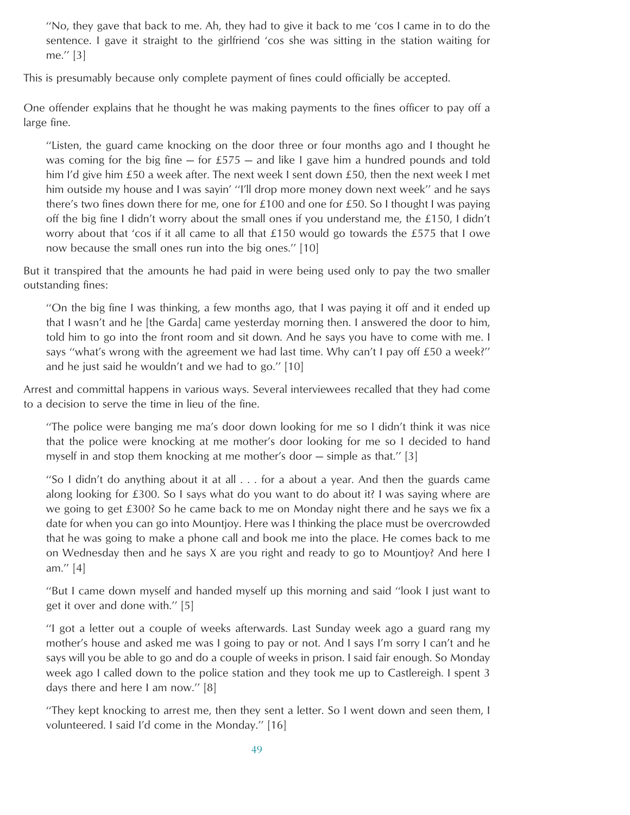''No, they gave that back to me. Ah, they had to give it back to me 'cos I came in to do the sentence. I gave it straight to the girlfriend 'cos she was sitting in the station waiting for me.'' [3]

This is presumably because only complete payment of fines could officially be accepted.

One offender explains that he thought he was making payments to the fines officer to pay off a large fine.

''Listen, the guard came knocking on the door three or four months ago and I thought he was coming for the big fine  $-$  for £575  $-$  and like I gave him a hundred pounds and told him I'd give him £50 a week after. The next week I sent down £50, then the next week I met him outside my house and I was sayin' ''I'll drop more money down next week'' and he says there's two fines down there for me, one for £100 and one for £50. So I thought I was paying off the big fine I didn't worry about the small ones if you understand me, the £150, I didn't worry about that 'cos if it all came to all that  $£150$  would go towards the £575 that I owe now because the small ones run into the big ones.'' [10]

But it transpired that the amounts he had paid in were being used only to pay the two smaller outstanding fines:

''On the big fine I was thinking, a few months ago, that I was paying it off and it ended up that I wasn't and he [the Garda] came yesterday morning then. I answered the door to him, told him to go into the front room and sit down. And he says you have to come with me. I says ''what's wrong with the agreement we had last time. Why can't I pay off £50 a week?'' and he just said he wouldn't and we had to go.'' [10]

Arrest and committal happens in various ways. Several interviewees recalled that they had come to a decision to serve the time in lieu of the fine.

''The police were banging me ma's door down looking for me so I didn't think it was nice that the police were knocking at me mother's door looking for me so I decided to hand myself in and stop them knocking at me mother's door — simple as that.'' [3]

''So I didn't do anything about it at all . . . for a about a year. And then the guards came along looking for £300. So I says what do you want to do about it? I was saying where are we going to get £300? So he came back to me on Monday night there and he says we fix a date for when you can go into Mountjoy. Here was I thinking the place must be overcrowded that he was going to make a phone call and book me into the place. He comes back to me on Wednesday then and he says X are you right and ready to go to Mountjoy? And here I am.'' [4]

''But I came down myself and handed myself up this morning and said ''look I just want to get it over and done with.'' [5]

''I got a letter out a couple of weeks afterwards. Last Sunday week ago a guard rang my mother's house and asked me was I going to pay or not. And I says I'm sorry I can't and he says will you be able to go and do a couple of weeks in prison. I said fair enough. So Monday week ago I called down to the police station and they took me up to Castlereigh. I spent 3 days there and here I am now.'' [8]

''They kept knocking to arrest me, then they sent a letter. So I went down and seen them, I volunteered. I said I'd come in the Monday.'' [16]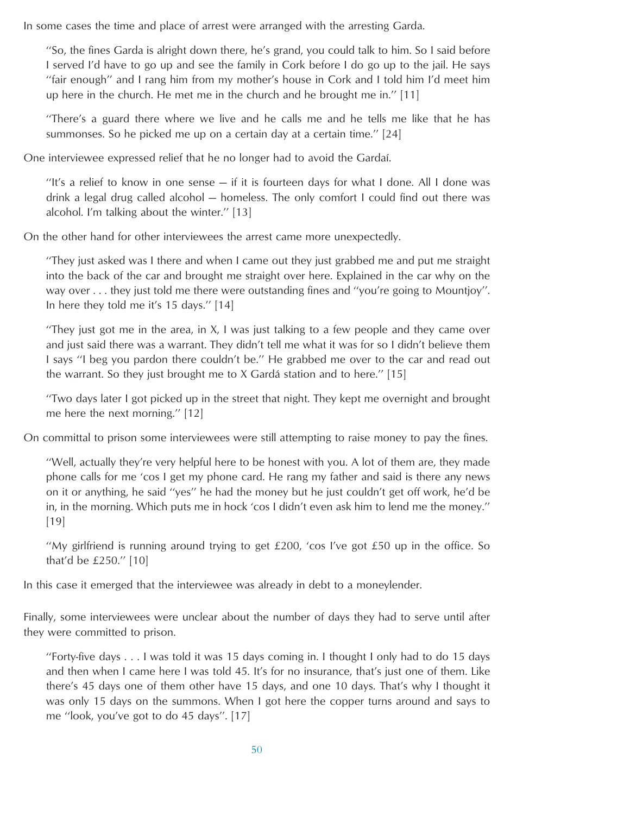In some cases the time and place of arrest were arranged with the arresting Garda.

''So, the fines Garda is alright down there, he's grand, you could talk to him. So I said before I served I'd have to go up and see the family in Cork before I do go up to the jail. He says ''fair enough'' and I rang him from my mother's house in Cork and I told him I'd meet him up here in the church. He met me in the church and he brought me in.'' [11]

''There's a guard there where we live and he calls me and he tells me like that he has summonses. So he picked me up on a certain day at a certain time.'' [24]

One interviewee expressed relief that he no longer had to avoid the Gardaí.

''It's a relief to know in one sense — if it is fourteen days for what I done. All I done was drink a legal drug called alcohol — homeless. The only comfort I could find out there was alcohol. I'm talking about the winter.'' [13]

On the other hand for other interviewees the arrest came more unexpectedly.

''They just asked was I there and when I came out they just grabbed me and put me straight into the back of the car and brought me straight over here. Explained in the car why on the way over . . . they just told me there were outstanding fines and ''you're going to Mountjoy''. In here they told me it's 15 days.'' [14]

''They just got me in the area, in X, I was just talking to a few people and they came over and just said there was a warrant. They didn't tell me what it was for so I didn't believe them I says ''I beg you pardon there couldn't be.'' He grabbed me over to the car and read out the warrant. So they just brought me to  $X$  Gardá station and to here." [15]

''Two days later I got picked up in the street that night. They kept me overnight and brought me here the next morning.'' [12]

On committal to prison some interviewees were still attempting to raise money to pay the fines.

''Well, actually they're very helpful here to be honest with you. A lot of them are, they made phone calls for me 'cos I get my phone card. He rang my father and said is there any news on it or anything, he said ''yes'' he had the money but he just couldn't get off work, he'd be in, in the morning. Which puts me in hock 'cos I didn't even ask him to lend me the money.'' [19]

"My girlfriend is running around trying to get  $£200$ , 'cos I've got  $£50$  up in the office. So that'd be £250.'' [10]

In this case it emerged that the interviewee was already in debt to a moneylender.

Finally, some interviewees were unclear about the number of days they had to serve until after they were committed to prison.

''Forty-five days . . . I was told it was 15 days coming in. I thought I only had to do 15 days and then when I came here I was told 45. It's for no insurance, that's just one of them. Like there's 45 days one of them other have 15 days, and one 10 days. That's why I thought it was only 15 days on the summons. When I got here the copper turns around and says to me ''look, you've got to do 45 days''. [17]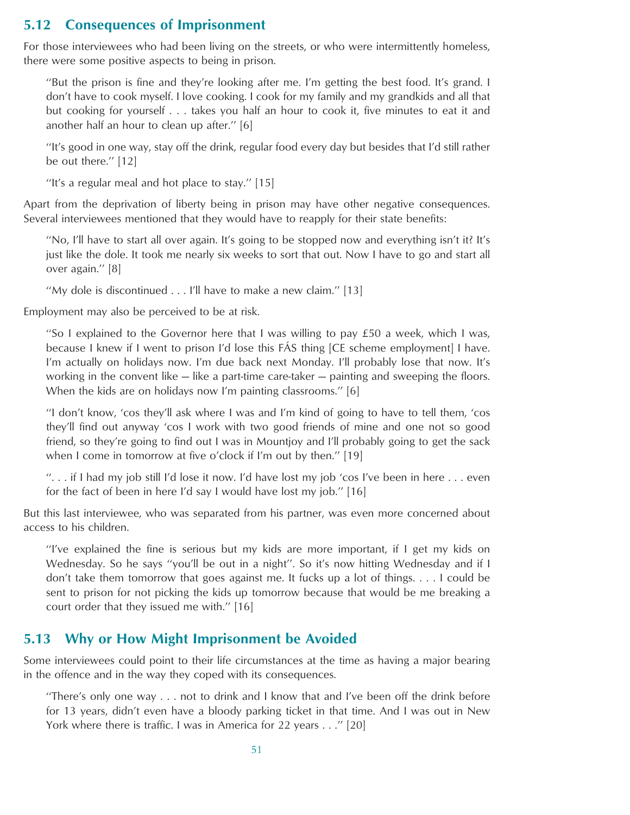## <span id="page-50-0"></span>**5.12 Consequences of Imprisonment**

For those interviewees who had been living on the streets, or who were intermittently homeless, there were some positive aspects to being in prison.

''But the prison is fine and they're looking after me. I'm getting the best food. It's grand. I don't have to cook myself. I love cooking. I cook for my family and my grandkids and all that but cooking for yourself . . . takes you half an hour to cook it, five minutes to eat it and another half an hour to clean up after.'' [6]

''It's good in one way, stay off the drink, regular food every day but besides that I'd still rather be out there.'' [12]

''It's a regular meal and hot place to stay.'' [15]

Apart from the deprivation of liberty being in prison may have other negative consequences. Several interviewees mentioned that they would have to reapply for their state benefits:

''No, I'll have to start all over again. It's going to be stopped now and everything isn't it? It's just like the dole. It took me nearly six weeks to sort that out. Now I have to go and start all over again.'' [8]

''My dole is discontinued... I'll have to make a new claim.'' [13]

Employment may also be perceived to be at risk.

''So I explained to the Governor here that I was willing to pay £50 a week, which I was, because I knew if I went to prison I'd lose this FAS thing [CE scheme employment] I have. I'm actually on holidays now. I'm due back next Monday. I'll probably lose that now. It's working in the convent like — like a part-time care-taker — painting and sweeping the floors. When the kids are on holidays now I'm painting classrooms.'' [6]

''I don't know, 'cos they'll ask where I was and I'm kind of going to have to tell them, 'cos they'll find out anyway 'cos I work with two good friends of mine and one not so good friend, so they're going to find out I was in Mountjoy and I'll probably going to get the sack when I come in tomorrow at five o'clock if I'm out by then.'' [19]

"... if I had my job still I'd lose it now. I'd have lost my job 'cos I've been in here  $\dots$  even for the fact of been in here I'd say I would have lost my job.'' [16]

But this last interviewee, who was separated from his partner, was even more concerned about access to his children.

''I've explained the fine is serious but my kids are more important, if I get my kids on Wednesday. So he says ''you'll be out in a night''. So it's now hitting Wednesday and if I don't take them tomorrow that goes against me. It fucks up a lot of things....I could be sent to prison for not picking the kids up tomorrow because that would be me breaking a court order that they issued me with.'' [16]

#### **5.13 Why or How Might Imprisonment be Avoided**

Some interviewees could point to their life circumstances at the time as having a major bearing in the offence and in the way they coped with its consequences.

''There's only one way . . . not to drink and I know that and I've been off the drink before for 13 years, didn't even have a bloody parking ticket in that time. And I was out in New York where there is traffic. I was in America for 22 years . . .'' [20]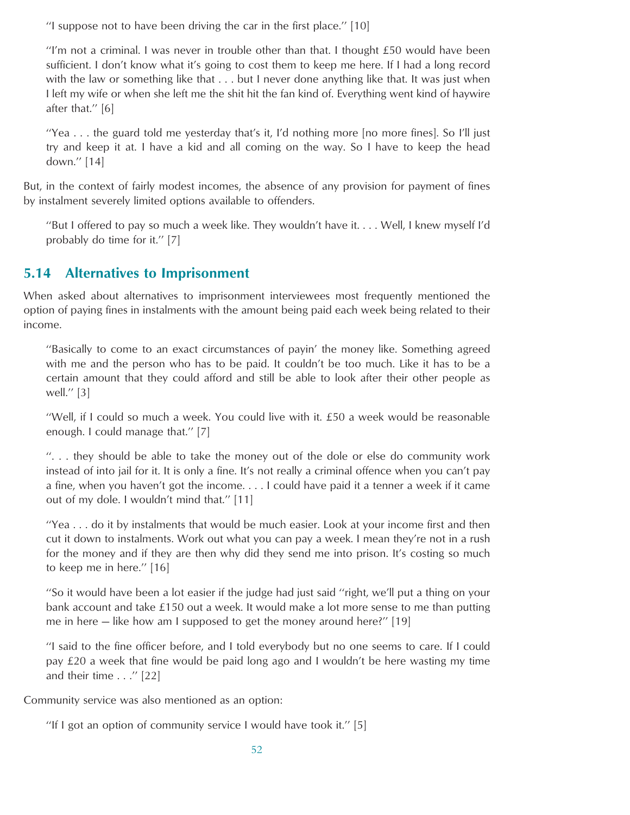<span id="page-51-0"></span>''I suppose not to have been driving the car in the first place.'' [10]

"I'm not a criminal. I was never in trouble other than that. I thought  $£50$  would have been sufficient. I don't know what it's going to cost them to keep me here. If I had a long record with the law or something like that . . . but I never done anything like that. It was just when I left my wife or when she left me the shit hit the fan kind of. Everything went kind of haywire after that.'' [6]

''Yea . . . the guard told me yesterday that's it, I'd nothing more [no more fines]. So I'll just try and keep it at. I have a kid and all coming on the way. So I have to keep the head down.'' [14]

But, in the context of fairly modest incomes, the absence of any provision for payment of fines by instalment severely limited options available to offenders.

''But I offered to pay so much a week like. They wouldn't have it. . . . Well, I knew myself I'd probably do time for it.'' [7]

### **5.14 Alternatives to Imprisonment**

When asked about alternatives to imprisonment interviewees most frequently mentioned the option of paying fines in instalments with the amount being paid each week being related to their income.

''Basically to come to an exact circumstances of payin' the money like. Something agreed with me and the person who has to be paid. It couldn't be too much. Like it has to be a certain amount that they could afford and still be able to look after their other people as well.'' [3]

''Well, if I could so much a week. You could live with it. £50 a week would be reasonable enough. I could manage that.'' [7]

''. . . they should be able to take the money out of the dole or else do community work instead of into jail for it. It is only a fine. It's not really a criminal offence when you can't pay a fine, when you haven't got the income. . . . I could have paid it a tenner a week if it came out of my dole. I wouldn't mind that.'' [11]

''Yea . . . do it by instalments that would be much easier. Look at your income first and then cut it down to instalments. Work out what you can pay a week. I mean they're not in a rush for the money and if they are then why did they send me into prison. It's costing so much to keep me in here.'' [16]

''So it would have been a lot easier if the judge had just said ''right, we'll put a thing on your bank account and take £150 out a week. It would make a lot more sense to me than putting me in here — like how am I supposed to get the money around here?'' [19]

''I said to the fine officer before, and I told everybody but no one seems to care. If I could pay £20 a week that fine would be paid long ago and I wouldn't be here wasting my time and their time . . .'' [22]

Community service was also mentioned as an option:

''If I got an option of community service I would have took it.'' [5]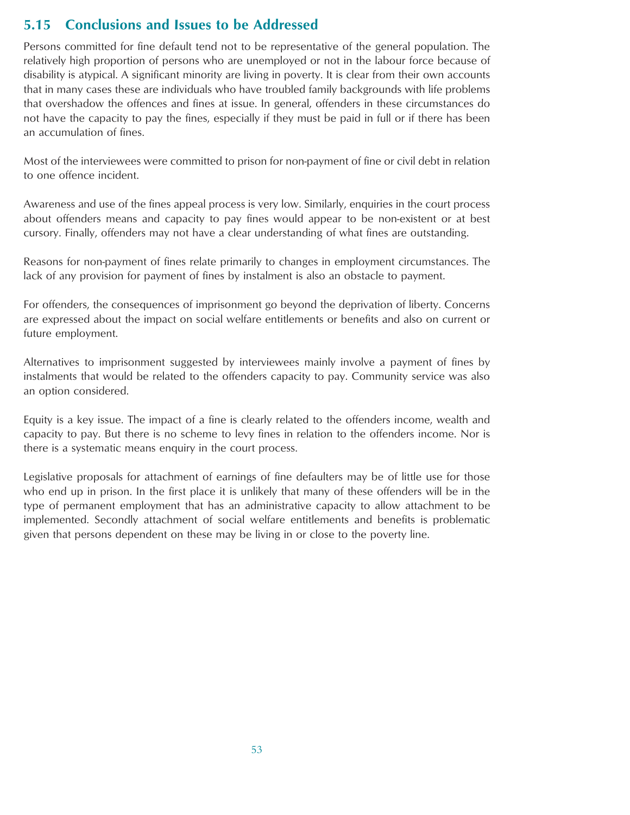## <span id="page-52-0"></span>**5.15 Conclusions and Issues to be Addressed**

Persons committed for fine default tend not to be representative of the general population. The relatively high proportion of persons who are unemployed or not in the labour force because of disability is atypical. A significant minority are living in poverty. It is clear from their own accounts that in many cases these are individuals who have troubled family backgrounds with life problems that overshadow the offences and fines at issue. In general, offenders in these circumstances do not have the capacity to pay the fines, especially if they must be paid in full or if there has been an accumulation of fines.

Most of the interviewees were committed to prison for non-payment of fine or civil debt in relation to one offence incident.

Awareness and use of the fines appeal process is very low. Similarly, enquiries in the court process about offenders means and capacity to pay fines would appear to be non-existent or at best cursory. Finally, offenders may not have a clear understanding of what fines are outstanding.

Reasons for non-payment of fines relate primarily to changes in employment circumstances. The lack of any provision for payment of fines by instalment is also an obstacle to payment.

For offenders, the consequences of imprisonment go beyond the deprivation of liberty. Concerns are expressed about the impact on social welfare entitlements or benefits and also on current or future employment.

Alternatives to imprisonment suggested by interviewees mainly involve a payment of fines by instalments that would be related to the offenders capacity to pay. Community service was also an option considered.

Equity is a key issue. The impact of a fine is clearly related to the offenders income, wealth and capacity to pay. But there is no scheme to levy fines in relation to the offenders income. Nor is there is a systematic means enquiry in the court process.

Legislative proposals for attachment of earnings of fine defaulters may be of little use for those who end up in prison. In the first place it is unlikely that many of these offenders will be in the type of permanent employment that has an administrative capacity to allow attachment to be implemented. Secondly attachment of social welfare entitlements and benefits is problematic given that persons dependent on these may be living in or close to the poverty line.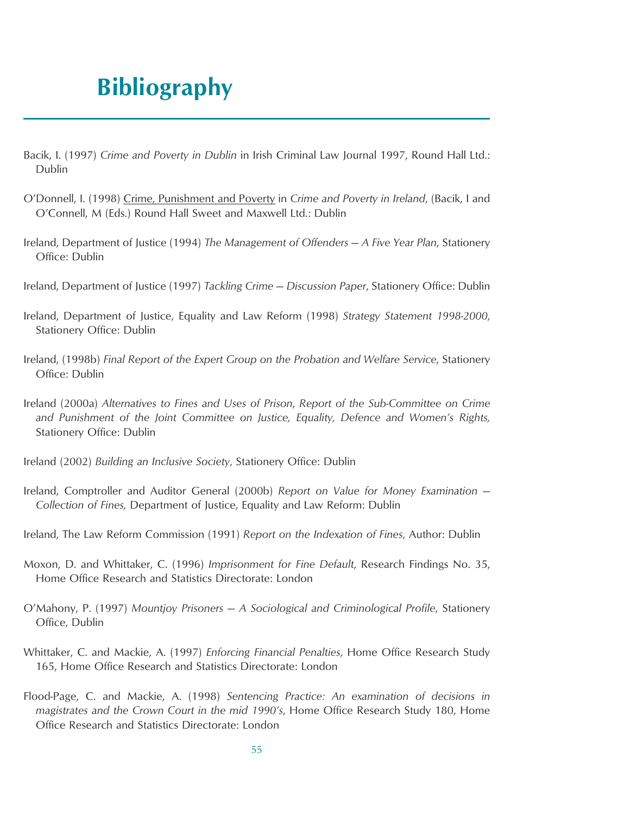## **Bibliography**

- Bacik, I. (1997) *Crime and Poverty in Dublin* in Irish Criminal Law Journal 1997, Round Hall Ltd.: Dublin
- O'Donnell, I. (1998) Crime, Punishment and Poverty in *Crime and Poverty in Ireland*, (Bacik, I and O'Connell, M (Eds.) Round Hall Sweet and Maxwell Ltd.: Dublin
- Ireland, Department of Justice (1994) *The Management of Offenders A Five Year Plan*, Stationery Office: Dublin
- Ireland, Department of Justice (1997) *Tackling Crime Discussion Paper*, Stationery Office: Dublin
- Ireland, Department of Justice, Equality and Law Reform (1998) *Strategy Statement 1998-2000*, Stationery Office: Dublin
- Ireland, (1998b) *Final Report of the Expert Group on the Probation and Welfare Service*, Stationery Office: Dublin
- Ireland (2000a) *Alternatives to Fines and Uses of Prison*, *Report of the Sub-Committee on Crime and Punishment of the Joint Committee on Justice, Equality, Defence and Women's Rights,* Stationery Office: Dublin
- Ireland (2002) *Building an Inclusive Society*, Stationery Office: Dublin
- Ireland, Comptroller and Auditor General (2000b) *Report on Value for Money Examination — Collection of Fines,* Department of Justice, Equality and Law Reform: Dublin
- Ireland, The Law Reform Commission (1991) *Report on the Indexation of Fines*, Author: Dublin
- Moxon, D. and Whittaker, C. (1996) *Imprisonment for Fine Default*, Research Findings No. 35, Home Office Research and Statistics Directorate: London
- O'Mahony, P. (1997) *Mountjoy Prisoners A Sociological and Criminological Profile*, Stationery Office, Dublin
- Whittaker, C. and Mackie, A. (1997) *Enforcing Financial Penalties*, Home Office Research Study 165, Home Office Research and Statistics Directorate: London
- Flood-Page, C. and Mackie, A. (1998) *Sentencing Practice: An examination of decisions in magistrates and the Crown Court in the mid 1990's*, Home Office Research Study 180, Home Office Research and Statistics Directorate: London